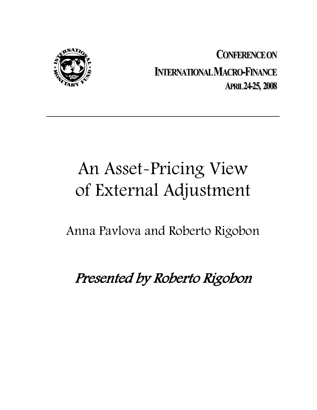

# **CONFERENCEON INTERNATIONAL MACRO-FINANCE APRIL24-25, 2008**

# An Asset-Pricing View of External Adjustment

Anna Pavlova and Roberto Rigobon

Presented by Roberto Rigobon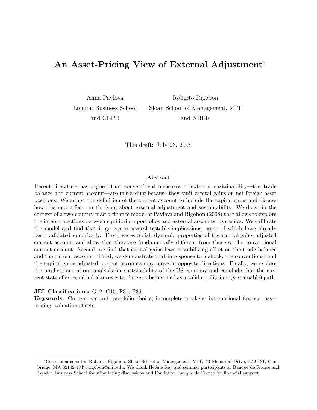# An Asset-Pricing View of External Adjustment<sup>∗</sup>

Anna Pavlova Roberto Rigobon London Business School Sloan School of Management, MIT and CEPR and NBER

This draft: July 23, 2008

#### Abstract

Recent literature has argued that conventional measures of external sustainability—the trade balance and current account—are misleading because they omit capital gains on net foreign asset positions. We adjust the definition of the current account to include the capital gains and discuss how this may affect our thinking about external adjustment and sustainability. We do so in the context of a two-country macro-finance model of Pavlova and Rigobon (2008) that allows to explore the interconnections between equilibrium portfolios and external accounts' dynamics. We calibrate the model and find that it generates several testable implications, some of which have already been validated empirically. First, we establish dynamic properties of the capital-gains adjusted current account and show that they are fundamentally different from those of the conventional current account. Second, we find that capital gains have a stabilizing effect on the trade balance and the current account. Third, we demonstrate that in response to a shock, the conventional and the capital-gains adjusted current accounts may move in opposite directions. Finally, we explore the implications of our analysis for sustainability of the US economy and conclude that the current state of external imbalances is too large to be justified as a valid equilibrium (sustainable) path.

#### JEL Classifications: G12, G15, F31, F36

Keywords: Current account, portfolio choice, incomplete markets, international finance, asset pricing, valuation effects.

<sup>∗</sup>Correspondence to: Roberto Rigobon, Sloan School of Management, MIT, 50 Memorial Drive, E52-431, Cambridge, MA 02142-1347, rigobon@mit.edu. We thank Hélène Rey and seminar participants at Banque de France and London Business School for stimulating discussions and Fondation Banque de France for financial support.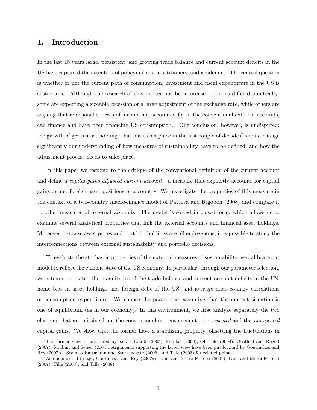# 1. Introduction

In the last 15 years large, persistent, and growing trade balance and current account deficits in the US have captured the attention of policymakers, practitioners, and academics. The central question is whether or not the current path of consumption, investment and fiscal expenditure in the US is sustainable. Although the research of this matter has been intense, opinions differ dramatically: some are expecting a sizeable recession or a large adjustment of the exchange rate, while others are arguing that additional sources of income not accounted for in the conventional external accounts, can finance and have been financing  $US$  consumption.<sup>1</sup> One conclusion, however, is undisputed: the growth of gross asset holdings that has taken place in the last couple of decades<sup>2</sup> should change significantly our understanding of how measures of sustainability have to be defined, and how the adjustment process needs to take place.

In this paper we respond to the critique of the conventional definition of the current account and define a *capital-gains adjusted current account*—a measure that explicitly accounts for capital gains on net foreign asset positions of a country. We investigate the properties of this measure in the context of a two-country macro-finance model of Pavlova and Rigobon (2008) and compare it to other measures of external accounts. The model is solved in closed-form, which allows us to examine several analytical properties that link the external accounts and financial asset holdings. Moreover, because asset prices and portfolio holdings are all endogenous, it is possible to study the interconnections between external sustainability and portfolio decisions.

To evaluate the stochastic properties of the external measures of sustainability, we calibrate our model to reflect the current state of the US economy. In particular, through our parameter selection, we attempt to match the magnitudes of the trade balance and current account deficits in the US, home bias in asset holdings, net foreign debt of the US, and average cross-country correlations of consumption expenditure. We choose the parameters assuming that the current situation is one of equilibrium (as in our economy). In this environment, we first analyze separately the two elements that are missing from the conventional current account: the expected and the unexpected capital gains. We show that the former have a stabilizing property, offsetting the fluctuations in

<sup>&</sup>lt;sup>1</sup>The former view is advocated by e.g., Edwards (2005), Frankel (2006), Obstfeld (2004), Obstfeld and Rogoff (2007), Roubini and Setser (2004). Arguments supporting the latter view have been put forward by Gourinchas and Rey (2007b). See also Hausmann and Sturzenegger (2006) and Tille (2003) for related points.

<sup>2</sup>As documented in e.g., Gourinchas and Rey (2007a), Lane and Milesi-Ferretti (2001), Lane and Milesi-Ferretti (2007), Tille (2003), and Tille (2008).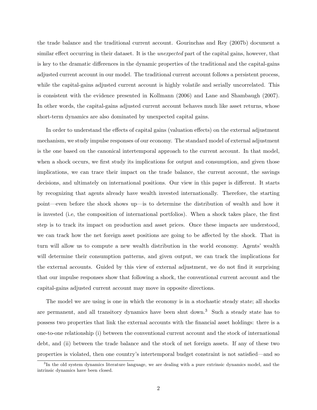the trade balance and the traditional current account. Gourinchas and Rey (2007b) document a similar effect occurring in their dataset. It is the *unexpected* part of the capital gains, however, that is key to the dramatic differences in the dynamic properties of the traditional and the capital-gains adjusted current account in our model. The traditional current account follows a persistent process, while the capital-gains adjusted current account is highly volatile and serially uncorrelated. This is consistent with the evidence presented in Kollmann (2006) and Lane and Shambaugh (2007). In other words, the capital-gains adjusted current account behaves much like asset returns, whose short-term dynamics are also dominated by unexpected capital gains.

In order to understand the effects of capital gains (valuation effects) on the external adjustment mechanism, we study impulse responses of our economy. The standard model of external adjustment is the one based on the canonical intertemporal approach to the current account. In that model, when a shock occurs, we first study its implications for output and consumption, and given those implications, we can trace their impact on the trade balance, the current account, the savings decisions, and ultimately on international positions. Our view in this paper is different. It starts by recognizing that agents already have wealth invested internationally. Therefore, the starting point—even before the shock shows up—is to determine the distribution of wealth and how it is invested (i.e, the composition of international portfolios). When a shock takes place, the first step is to track its impact on production and asset prices. Once these impacts are understood, we can track how the net foreign asset positions are going to be affected by the shock. That in turn will allow us to compute a new wealth distribution in the world economy. Agents' wealth will determine their consumption patterns, and given output, we can track the implications for the external accounts. Guided by this view of external adjustment, we do not find it surprising that our impulse responses show that following a shock, the conventional current account and the capital-gains adjusted current account may move in opposite directions.

The model we are using is one in which the economy is in a stochastic steady state; all shocks are permanent, and all transitory dynamics have been shut down.<sup>3</sup> Such a steady state has to possess two properties that link the external accounts with the financial asset holdings: there is a one-to-one relationship (i) between the conventional current account and the stock of international debt, and (ii) between the trade balance and the stock of net foreign assets. If any of these two properties is violated, then one country's intertemporal budget constraint is not satisfied—and so

<sup>&</sup>lt;sup>3</sup>In the old system dynamics literature language, we are dealing with a pure extrinsic dynamics model, and the intrinsic dynamics have been closed.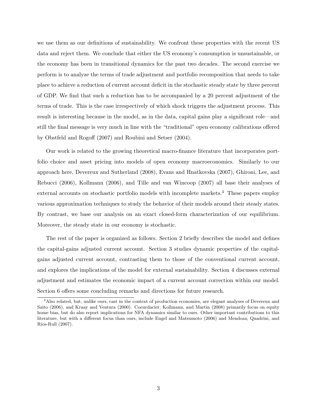we use them as our definitions of sustainability. We confront these properties with the recent US data and reject them. We conclude that either the US economy's consumption is unsustainable, or the economy has been in transitional dynamics for the past two decades. The second exercise we perform is to analyze the terms of trade adjustment and portfolio recomposition that needs to take place to achieve a reduction of current account deficit in the stochastic steady state by three percent of GDP. We find that such a reduction has to be accompanied by a 20 percent adjustment of the terms of trade. This is the case irrespectively of which shock triggers the adjustment process. This result is interesting because in the model, as in the data, capital gains play a significant role—and still the final message is very much in line with the "traditional" open economy calibrations offered by Obstfeld and Rogoff (2007) and Roubini and Setser (2004).

Our work is related to the growing theoretical macro-finance literature that incorporates portfolio choice and asset pricing into models of open economy macroeconomics. Similarly to our approach here, Devereux and Sutherland (2008), Evans and Hnatkovska (2007), Ghironi, Lee, and Rebucci (2006), Kollmann (2006), and Tille and van Wincoop (2007) all base their analyses of external accounts on stochastic portfolio models with incomplete markets.<sup>4</sup> These papers employ various approximation techniques to study the behavior of their models around their steady states. By contrast, we base our analysis on an exact closed-form characterization of our equilibrium. Moreover, the steady state in our economy is stochastic.

The rest of the paper is organized as follows. Section 2 briefly describes the model and defines the capital-gains adjusted current account. Section 3 studies dynamic properties of the capitalgains adjusted current account, contrasting them to those of the conventional current account, and explores the implications of the model for external sustainability. Section 4 discusses external adjustment and estimates the economic impact of a current account correction within our model. Section 6 offers some concluding remarks and directions for future research.

<sup>4</sup>Also related, but, unlike ours, cast in the context of production economies, are elegant analyses of Devereux and Saito (2006), and Kraay and Ventura (2000). Coeurdacier, Kollmann, and Martin (2008) primarily focus on equity home bias, but do also report implications for NFA dynamics similar to ours. Other important contributions to this literature, but with a different focus than ours, include Engel and Matsumoto (2006) and Mendoza, Quadrini, and Rios-Rull (2007).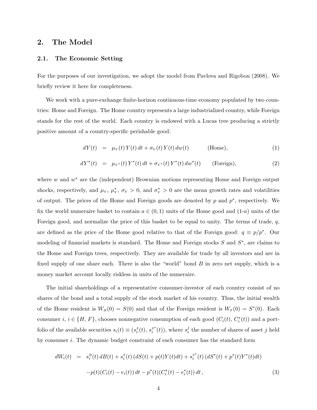# 2. The Model

#### 2.1. The Economic Setting

For the purposes of our investigation, we adopt the model from Pavlova and Rigobon (2008). We briefly review it here for completeness.

We work with a pure-exchange finite-horizon continuous-time economy populated by two countries: Home and Foreign. The Home country represents a large industrialized country, while Foreign stands for the rest of the world. Each country is endowed with a Lucas tree producing a strictly positive amount of a country-specific perishable good:

$$
dY(t) = \mu_Y(t) Y(t) dt + \sigma_Y(t) Y(t) dw(t) \qquad \text{(Home)},
$$
\n(1)

$$
dY^*(t) = \mu_{Y^*}(t) Y^*(t) dt + \sigma_{Y^*}(t) Y^*(t) dw^*(t) \qquad \text{(Foreign)},
$$
\n(2)

where  $w$  and  $w^*$  are the (independent) Brownian motions representing Home and Foreign output shocks, respectively, and  $\mu_Y$ ,  $\mu_Y^*$ ,  $\sigma_Y > 0$ , and  $\sigma_Y^* > 0$  are the mean growth rates and volatilities of output. The prices of the Home and Foreign goods are denoted by  $p$  and  $p^*$ , respectively. We fix the world numeraire basket to contain  $a \in (0,1)$  units of the Home good and  $(1-a)$  units of the Foreign good, and normalize the price of this basket to be equal to unity. The terms of trade, q, are defined as the price of the Home good relative to that of the Foreign good:  $q \equiv p/p^*$ . Our modeling of financial markets is standard. The Home and Foreign stocks  $S$  and  $S^*$ , are claims to the Home and Foreign trees, respectively. They are available for trade by all investors and are in fixed supply of one share each. There is also the "world" bond  $B$  in zero net supply, which is a money market account locally riskless in units of the numeraire.

The initial shareholdings of a representative consumer-investor of each country consist of no shares of the bond and a total supply of the stock market of his country. Thus, the initial wealth of the Home resident is  $W_H(0) = S(0)$  and that of the Foreign resident is  $W_F(0) = S^*(0)$ . Each consumer  $i, i \in \{H, F\}$ , chooses nonnegative consumption of each good  $(C_i(t), C_i^*(t))$  and a portfolio of the available securities  $s_i(t) \equiv (s_i^S(t), s_i^{S^*}(t))$ , where  $s_i^j$  $i$ <sub>i</sub> the number of shares of asset j held by consumer  $i$ . The dynamic budget constraint of each consumer has the standard form

$$
dW_i(t) = s_i^B(t) dB(t) + s_i^S(t) (dS(t) + p(t)Y(t)dt) + s_i^{S^*}(t) (dS^*(t) + p^*(t)Y^*(t)dt)
$$
  

$$
-p(t)(C_i(t) - e_i(t)) dt - p^*(t)(C_i^*(t) - e_i^*(t)) dt,
$$
\n(3)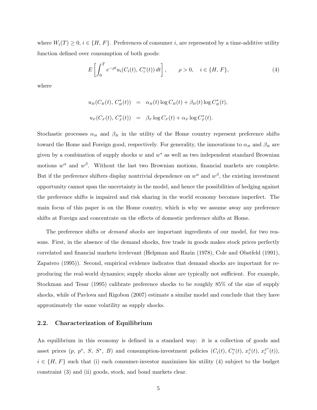where  $W_i(T) \geq 0, i \in \{H, F\}$ . Preferences of consumer i, are represented by a time-additive utility function defined over consumption of both goods:

$$
E\left[\int_0^T e^{-\rho t} u_i(C_i(t), C_i^*(t)) dt\right], \qquad \rho > 0, \quad i \in \{H, F\},\tag{4}
$$

where

$$
u_H(C_H(t), C_H^*(t)) = \alpha_H(t) \log C_H(t) + \beta_H(t) \log C_H^*(t),
$$
  

$$
u_F(C_F(t), C_F^*(t)) = \beta_F \log C_F(t) + \alpha_F \log C_F^*(t).
$$

Stochastic processes  $\alpha_H$  and  $\beta_H$  in the utility of the Home country represent preference shifts toward the Home and Foreign good, respectively. For generality, the innovations to  $\alpha_H$  and  $\beta_H$  are given by a combination of supply shocks w and  $w^*$  as well as two independent standard Brownian motions  $w^{\alpha}$  and  $w^{\beta}$ . Without the last two Brownian motions, financial markets are complete. But if the preference shifters display nontrivial dependence on  $w^{\alpha}$  and  $w^{\beta}$ , the existing investment opportunity cannot span the uncertainty in the model, and hence the possibilities of hedging against the preference shifts is impaired and risk sharing in the world economy becomes imperfect. The main focus of this paper is on the Home country, which is why we assume away any preference shifts at Foreign and concentrate on the effects of domestic preference shifts at Home.

The preference shifts or *demand shocks* are important ingredients of our model, for two reasons. First, in the absence of the demand shocks, free trade in goods makes stock prices perfectly correlated and financial markets irrelevant (Helpman and Razin (1978), Cole and Obstfeld (1991), Zapatero (1995)). Second, empirical evidence indicates that demand shocks are important for reproducing the real-world dynamics; supply shocks alone are typically not sufficient. For example, Stockman and Tesar (1995) calibrate preference shocks to be roughly 85% of the size of supply shocks, while of Pavlova and Rigobon (2007) estimate a similar model and conclude that they have approximately the same volatility as supply shocks.

#### 2.2. Characterization of Equilibrium

An equilibrium in this economy is defined in a standard way: it is a collection of goods and asset prices  $(p, p^*, S, S^*, B)$  and consumption-investment policies  $(C_i(t), C_i^*(t), x_i^s(t), x_i^{s^*}(t)),$  $i \in \{H, F\}$  such that (i) each consumer-investor maximizes his utility (4) subject to the budget constraint (3) and (ii) goods, stock, and bond markets clear.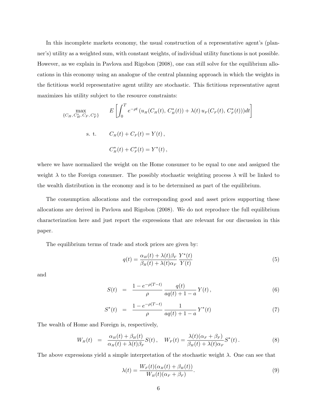In this incomplete markets economy, the usual construction of a representative agent's (planner's) utility as a weighted sum, with constant weights, of individual utility functions is not possible. However, as we explain in Pavlova and Rigobon (2008), one can still solve for the equilibrium allocations in this economy using an analogue of the central planning approach in which the weights in the fictitious world representative agent utility are stochastic. This fictitious representative agent maximizes his utility subject to the resource constraints:

$$
\max_{\{C_H, C_H^*, C_F, C_F^*\}} \qquad E\left[\int_0^T e^{-\rho t} \left(u_H(C_H(t), C_H^*(t)) + \lambda(t) u_F(C_F(t), C_F^*(t))\right) dt\right]
$$
\n
$$
\text{s. t.} \qquad C_H(t) + C_F(t) = Y(t),
$$
\n
$$
C_H^*(t) + C_F^*(t) = Y^*(t),
$$

where we have normalized the weight on the Home consumer to be equal to one and assigned the weight  $\lambda$  to the Foreign consumer. The possibly stochastic weighting process  $\lambda$  will be linked to the wealth distribution in the economy and is to be determined as part of the equilibrium.

The consumption allocations and the corresponding good and asset prices supporting these allocations are derived in Pavlova and Rigobon (2008). We do not reproduce the full equilibrium characterization here and just report the expressions that are relevant for our discussion in this paper.

The equilibrium terms of trade and stock prices are given by:

$$
q(t) = \frac{\alpha_H(t) + \lambda(t)\beta_F}{\beta_H(t) + \lambda(t)\alpha_F} \frac{Y^*(t)}{Y(t)}
$$
\n
$$
\tag{5}
$$

and

$$
S(t) = \frac{1 - e^{-\rho(T-t)}}{\rho} \frac{q(t)}{aq(t) + 1 - a} Y(t), \qquad (6)
$$

$$
S^*(t) = \frac{1 - e^{-\rho(T-t)}}{\rho} \frac{1}{aq(t) + 1 - a} Y^*(t)
$$
\n(7)

The wealth of Home and Foreign is, respectively,

$$
W_H(t) = \frac{\alpha_H(t) + \beta_H(t)}{\alpha_H(t) + \lambda(t)\beta_F} S(t), \quad W_F(t) = \frac{\lambda(t)(\alpha_F + \beta_F)}{\beta_H(t) + \lambda(t)\alpha_F} S^*(t).
$$
\n(8)

The above expressions yield a simple interpretation of the stochastic weight  $\lambda$ . One can see that

$$
\lambda(t) = \frac{W_F(t)(\alpha_H(t) + \beta_H(t))}{W_H(t)(\alpha_F + \beta_F)}.
$$
\n(9)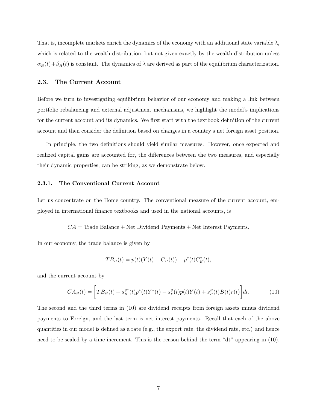That is, incomplete markets enrich the dynamics of the economy with an additional state variable  $\lambda$ , which is related to the wealth distribution, but not given exactly by the wealth distribution unless  $\alpha_H(t)+\beta_H(t)$  is constant. The dynamics of  $\lambda$  are derived as part of the equilibrium characterization.

#### 2.3. The Current Account

Before we turn to investigating equilibrium behavior of our economy and making a link between portfolio rebalancing and external adjustment mechanisms, we highlight the model's implications for the current account and its dynamics. We first start with the textbook definition of the current account and then consider the definition based on changes in a country's net foreign asset position.

In principle, the two definitions should yield similar measures. However, once expected and realized capital gains are accounted for, the differences between the two measures, and especially their dynamic properties, can be striking, as we demonstrate below.

#### 2.3.1. The Conventional Current Account

Let us concentrate on the Home country. The conventional measure of the current account, employed in international finance textbooks and used in the national accounts, is

 $CA = Trade Balance + Net Dividend Payments + Net Interest Payments.$ 

In our economy, the trade balance is given by

$$
TB_H(t) = p(t)(Y(t) - C_H(t)) - p^*(t)C_H^*(t),
$$

and the current account by

$$
CA_H(t) = \left[ TB_H(t) + s_H^{S^*}(t) p^*(t) Y^*(t) - s_F^S(t) p(t) Y(t) + s_H^B(t) B(t) r(t) \right] dt.
$$
 (10)

The second and the third terms in (10) are dividend receipts from foreign assets minus dividend payments to Foreign, and the last term is net interest payments. Recall that each of the above quantities in our model is defined as a rate (e.g., the export rate, the dividend rate, etc.) and hence need to be scaled by a time increment. This is the reason behind the term "dt" appearing in (10).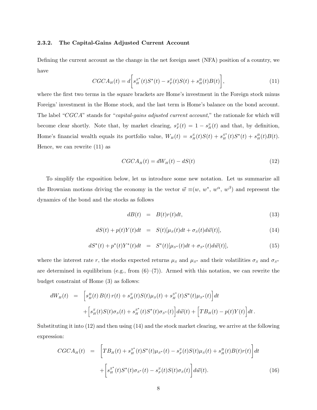#### 2.3.2. The Capital-Gains Adjusted Current Account

Defining the current account as the change in the net foreign asset (NFA) position of a country, we have ·  $\overline{a}$ 

$$
CGCA_H(t) = d\bigg[s_H^{s^*}(t)S^*(t) - s_F^S(t)S(t) + s_H^B(t)B(t)\bigg],
$$
\n(11)

where the first two terms in the square brackets are Home's investment in the Foreign stock minus Foreign' investment in the Home stock, and the last term is Home's balance on the bond account. The label "CGCA" stands for "capital-gains adjusted current account," the rationale for which will become clear shortly. Note that, by market clearing,  $s_F^S(t) = 1 - s_H^S(t)$  and that, by definition, Home's financial wealth equals its portfolio value,  $W_H(t) = s_H^S(t)S(t) + s_H^S(t)S^*(t) + s_H^B(t)B(t)$ . Hence, we can rewrite (11) as

$$
CGCA_H(t) = dW_H(t) - dS(t)
$$
\n<sup>(12)</sup>

To simplify the exposition below, let us introduce some new notation. Let us summarize all the Brownian motions driving the economy in the vector  $\vec{w} \equiv (w, w^*, w^{\alpha}, w^{\beta})$  and represent the dynamics of the bond and the stocks as follows

$$
dB(t) = B(t)r(t)dt,
$$
\n(13)

$$
dS(t) + p(t)Y(t)dt = S(t)[\muS(t)dt + \sigmaS(t)dt] \tag{14}
$$

$$
dS^*(t) + p^*(t)Y^*(t)dt = S^*(t)[\mu_{S^*}(t)dt + \sigma_{S^*}(t)d\vec{w}(t)],
$$
\n(15)

where the interest rate r, the stocks expected returns  $\mu_s$  and  $\mu_{s^*}$  and their volatilities  $\sigma_s$  and  $\sigma_{s^*}$ are determined in equilibrium (e.g., from  $(6)-(7)$ ). Armed with this notation, we can rewrite the budget constraint of Home (3) as follows:

$$
dW_H(t) = \left[ s_H^B(t) B(t) r(t) + s_H^S(t) S(t) \mu_S(t) + s_H^{S^*}(t) S^*(t) \mu_{S^*}(t) \right] dt + \left[ s_H^S(t) S(t) \sigma_S(t) + s_H^{S^*}(t) S^*(t) \sigma_{S^*}(t) \right] d\vec{w}(t) + \left[ T B_H(t) - p(t) Y(t) \right] dt.
$$

Substituting it into (12) and then using (14) and the stock market clearing, we arrive at the following expression:

$$
CGCA_H(t) = \left[ TB_H(t) + s_H^{S^*}(t)S^*(t) \mu_{S^*}(t) - s_F^S(t)S(t) \mu_S(t) + s_H^B(t)B(t)r(t) \right] dt
$$
  
+ 
$$
\left[ s_H^{S^*}(t)S^*(t)\sigma_{S^*}(t) - s_F^S(t)S(t)\sigma_S(t) \right] d\vec{w}(t).
$$
 (16)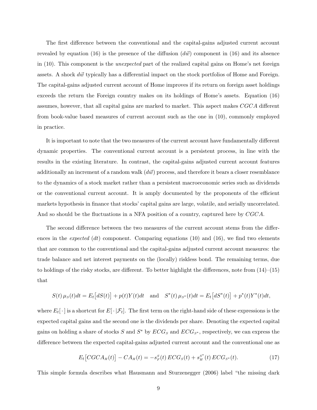The first difference between the conventional and the capital-gains adjusted current account revealed by equation (16) is the presence of the diffusion  $(d\vec{w})$  component in (16) and its absence in (10). This component is the unexpected part of the realized capital gains on Home's net foreign assets. A shock  $d\vec{w}$  typically has a differential impact on the stock portfolios of Home and Foreign. The capital-gains adjusted current account of Home improves if its return on foreign asset holdings exceeds the return the Foreign country makes on its holdings of Home's assets. Equation (16) assumes, however, that all capital gains are marked to market. This aspect makes CGCA different from book-value based measures of current account such as the one in (10), commonly employed in practice.

It is important to note that the two measures of the current account have fundamentally different dynamic properties. The conventional current account is a persistent process, in line with the results in the existing literature. In contrast, the capital-gains adjusted current account features additionally an increment of a random walk  $(d\vec{w})$  process, and therefore it bears a closer resemblance to the dynamics of a stock market rather than a persistent macroeconomic series such as dividends or the conventional current account. It is amply documented by the proponents of the efficient markets hypothesis in finance that stocks' capital gains are large, volatile, and serially uncorrelated. And so should be the fluctuations in a NFA position of a country, captured here by CGCA.

The second difference between the two measures of the current account stems from the differences in the *expected* (dt) component. Comparing equations (10) and (16), we find two elements that are common to the conventional and the capital-gains adjusted current account measures: the trade balance and net interest payments on the (locally) riskless bond. The remaining terms, due to holdings of the risky stocks, are different. To better highlight the differences, note from  $(14)$ – $(15)$ that

$$
S(t)\,\mu_S(t)dt = E_t\big[dS(t)\big] + p(t)Y(t)dt \quad \text{and} \quad S^*(t)\,\mu_{S^*}(t)dt = E_t\big[dS^*(t)\big] + p^*(t)Y^*(t)dt,
$$

where  $E_t[\cdot]$  is a shortcut for  $E[\cdot|\mathcal{F}_t]$ . The first term on the right-hand side of these expressions is the expected capital gains and the second one is the dividends per share. Denoting the expected capital gains on holding a share of stocks S and  $S^*$  by  $ECG_S$  and  $ECG_{S^*}$ , respectively, we can express the difference between the expected capital-gains adjusted current account and the conventional one as

$$
E_t[CGCA_H(t)] - CA_H(t) = -s_F^S(t) \, ECG_S(t) + s_H^{S^*}(t) \, ECG_{S^*}(t). \tag{17}
$$

This simple formula describes what Hausmann and Sturzenegger (2006) label "the missing dark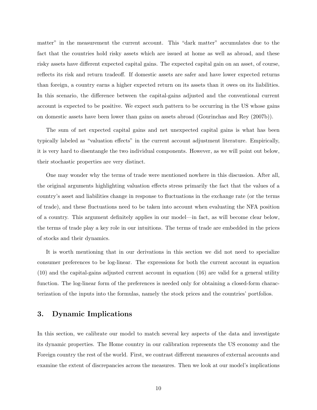matter" in the measurement the current account. This "dark matter" accumulates due to the fact that the countries hold risky assets which are issued at home as well as abroad, and these risky assets have different expected capital gains. The expected capital gain on an asset, of course, reflects its risk and return tradeoff. If domestic assets are safer and have lower expected returns than foreign, a country earns a higher expected return on its assets than it owes on its liabilities. In this scenario, the difference between the capital-gains adjusted and the conventional current account is expected to be positive. We expect such pattern to be occurring in the US whose gains on domestic assets have been lower than gains on assets abroad (Gourinchas and Rey (2007b)).

The sum of net expected capital gains and net unexpected capital gains is what has been typically labeled as "valuation effects" in the current account adjustment literature. Empirically, it is very hard to disentangle the two individual components. However, as we will point out below, their stochastic properties are very distinct.

One may wonder why the terms of trade were mentioned nowhere in this discussion. After all, the original arguments highlighting valuation effects stress primarily the fact that the values of a country's asset and liabilities change in response to fluctuations in the exchange rate (or the terms of trade), and these fluctuations need to be taken into account when evaluating the NFA position of a country. This argument definitely applies in our model—in fact, as will become clear below, the terms of trade play a key role in our intuitions. The terms of trade are embedded in the prices of stocks and their dynamics.

It is worth mentioning that in our derivations in this section we did not need to specialize consumer preferences to be log-linear. The expressions for both the current account in equation (10) and the capital-gains adjusted current account in equation (16) are valid for a general utility function. The log-linear form of the preferences is needed only for obtaining a closed-form characterization of the inputs into the formulas, namely the stock prices and the countries' portfolios.

# 3. Dynamic Implications

In this section, we calibrate our model to match several key aspects of the data and investigate its dynamic properties. The Home country in our calibration represents the US economy and the Foreign country the rest of the world. First, we contrast different measures of external accounts and examine the extent of discrepancies across the measures. Then we look at our model's implications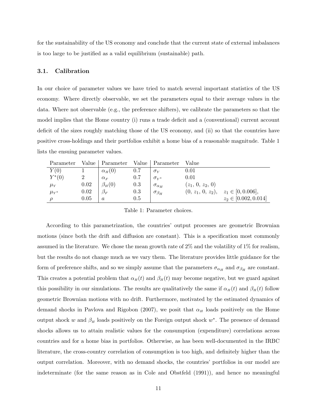for the sustainability of the US economy and conclude that the current state of external imbalances is too large to be justified as a valid equilibrium (sustainable) path.

# 3.1. Calibration

In our choice of parameter values we have tried to match several important statistics of the US economy. Where directly observable, we set the parameters equal to their average values in the data. Where not observable (e.g., the preference shifters), we calibrate the parameters so that the model implies that the Home country (i) runs a trade deficit and a (conventional) current account deficit of the sizes roughly matching those of the US economy, and (ii) so that the countries have positive cross-holdings and their portfolios exhibit a home bias of a reasonable magnitude. Table 1 lists the ensuing parameter values.

| Parameter |      | Value   Parameter              |     | Value   Parameter   | Value              |                                         |
|-----------|------|--------------------------------|-----|---------------------|--------------------|-----------------------------------------|
| Y(0)      |      | $\alpha_H(0)$                  | 0.7 | $\sigma_{\rm V}$    | 0.01               |                                         |
| $Y^*(0)$  |      | $\alpha_F$                     | 0.7 | $\sigma_{Y^*}$      | 0.01               |                                         |
| $\mu_Y$   | 0.02 | $\beta_H(0)$                   | 0.3 | $\sigma_{\alpha_H}$ | $(z_1, 0, z_2, 0)$ |                                         |
| $\mu_Y$   | 0.02 | $\beta_{\scriptscriptstyle F}$ | 0.3 | $\sigma_{\beta_H}$  |                    | $(0, z_1, 0, z_2), z_1 \in [0, 0.006],$ |
| $\rho$    | 0.05 | $\boldsymbol{a}$               | 0.5 |                     |                    | $z_2 \in [0.002, 0.014]$                |

Table 1: Parameter choices.

According to this parametrization, the countries' output processes are geometric Brownian motions (since both the drift and diffusion are constant). This is a specification most commonly assumed in the literature. We chose the mean growth rate of 2% and the volatility of 1% for realism, but the results do not change much as we vary them. The literature provides little guidance for the form of preference shifts, and so we simply assume that the parameters  $\sigma_{\alpha_H}$  and  $\sigma_{\beta_H}$  are constant. This creates a potential problem that  $\alpha_H(t)$  and  $\beta_H(t)$  may become negative, but we guard against this possibility in our simulations. The results are qualitatively the same if  $\alpha_H(t)$  and  $\beta_H(t)$  follow geometric Brownian motions with no drift. Furthermore, motivated by the estimated dynamics of demand shocks in Pavlova and Rigobon (2007), we posit that  $\alpha_H$  loads positively on the Home output shock w and  $\beta_H$  loads positively on the Foreign output shock w<sup>\*</sup>. The presence of demand shocks allows us to attain realistic values for the consumption (expenditure) correlations across countries and for a home bias in portfolios. Otherwise, as has been well-documented in the IRBC literature, the cross-country correlation of consumption is too high, and definitely higher than the output correlation. Moreover, with no demand shocks, the countries' portfolios in our model are indeterminate (for the same reason as in Cole and Obstfeld (1991)), and hence no meaningful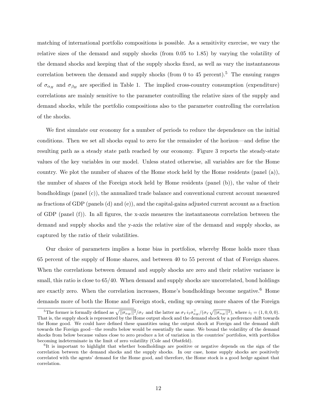matching of international portfolio compositions is possible. As a sensitivity exercise, we vary the relative sizes of the demand and supply shocks (from 0.05 to 1.85) by varying the volatility of the demand shocks and keeping that of the supply shocks fixed, as well as vary the instantaneous correlation between the demand and supply shocks (from 0 to 45 percent).<sup>5</sup> The ensuing ranges of  $\sigma_{\alpha_H}$  and  $\sigma_{\beta_H}$  are specified in Table 1. The implied cross-country consumption (expenditure) correlations are mainly sensitive to the parameter controlling the relative sizes of the supply and demand shocks, while the portfolio compositions also to the parameter controlling the correlation of the shocks.

We first simulate our economy for a number of periods to reduce the dependence on the initial conditions. Then we set all shocks equal to zero for the remainder of the horizon—and define the resulting path as a steady state path reached by our economy. Figure 3 reports the steady-state values of the key variables in our model. Unless stated otherwise, all variables are for the Home country. We plot the number of shares of the Home stock held by the Home residents (panel (a)), the number of shares of the Foreign stock held by Home residents (panel (b)), the value of their bondholdings (panel (c)), the annualized trade balance and conventional current account measured as fractions of GDP (panels (d) and (e)), and the capital-gains adjusted current account as a fraction of GDP (panel (f)). In all figures, the x-axis measures the instantaneous correlation between the demand and supply shocks and the y-axis the relative size of the demand and supply shocks, as captured by the ratio of their volatilities.

Our choice of parameters implies a home bias in portfolios, whereby Home holds more than 65 percent of the supply of Home shares, and between 40 to 55 percent of that of Foreign shares. When the correlations between demand and supply shocks are zero and their relative variance is small, this ratio is close to 65/40. When demand and supply shocks are uncorrelated, bond holdings are exactly zero. When the correlation increases, Home's bondholdings become negative.<sup>6</sup> Home demands more of both the Home and Foreign stock, ending up owning more shares of the Foreign

<sup>&</sup>lt;sup>5</sup>The former is formally defined as  $\sqrt{||\sigma_{\alpha_H}||^2}/\sigma_Y$  and the latter as  $\sigma_Y i_1 \sigma_{\alpha_H}^{\top}/(\sigma_Y \sqrt{||\sigma_{\alpha_H}||^2})$ , where  $i_1 = (1,0,0,0)$ . That is, the supply shock is represented by the Home output shock and the demand shock by a preference shift towards the Home good. We could have defined these quantities using the output shock at Foreign and the demand shift towards the Foreign good—the results below would be essentially the same. We bound the volatility of the demand shocks from below because values close to zero produce a lot of variation in the countries' portfolios, with portfolios becoming indeterminate in the limit of zero volatility (Cole and Obstfeld).

<sup>&</sup>lt;sup>6</sup>It is important to highlight that whether bondholdings are positive or negative depends on the sign of the correlation between the demand shocks and the supply shocks. In our case, home supply shocks are positively correlated with the agents' demand for the Home good, and therefore, the Home stock is a good hedge against that correlation.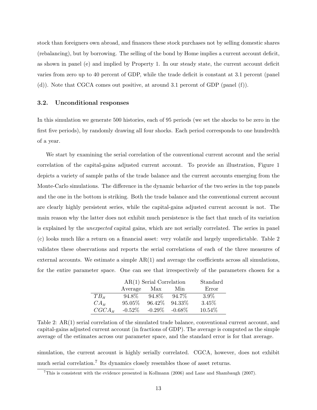stock than foreigners own abroad, and finances these stock purchases not by selling domestic shares (rebalancing), but by borrowing. The selling of the bond by Home implies a current account deficit, as shown in panel (e) and implied by Property 1. In our steady state, the current account deficit varies from zero up to 40 percent of GDP, while the trade deficit is constant at 3.1 percent (panel (d)). Note that CGCA comes out positive, at around 3.1 percent of GDP (panel (f)).

## 3.2. Unconditional responses

In this simulation we generate 500 histories, each of 95 periods (we set the shocks to be zero in the first five periods), by randomly drawing all four shocks. Each period corresponds to one hundredth of a year.

We start by examining the serial correlation of the conventional current account and the serial correlation of the capital-gains adjusted current account. To provide an illustration, Figure 1 depicts a variety of sample paths of the trade balance and the current accounts emerging from the Monte-Carlo simulations. The difference in the dynamic behavior of the two series in the top panels and the one in the bottom is striking. Both the trade balance and the conventional current account are clearly highly persistent series, while the capital-gains adjusted current account is not. The main reason why the latter does not exhibit much persistence is the fact that much of its variation is explained by the unexpected capital gains, which are not serially correlated. The series in panel (c) looks much like a return on a financial asset: very volatile and largely unpredictable. Table 2 validates these observations and reports the serial correlations of each of the three measures of external accounts. We estimate a simple  $AR(1)$  and average the coefficients across all simulations, for the entire parameter space. One can see that irrespectively of the parameters chosen for a

|                   | $AR(1)$ Serial Correlation | Standard  |           |         |
|-------------------|----------------------------|-----------|-----------|---------|
|                   | Average                    | Max       | Min       | Error   |
| TB <sub>H</sub>   | 94.8%                      | 94.8%     | 94.7%     | $3.9\%$ |
| $CA_{H}$          | 95.05%                     | 96.42\%   | 94.33%    | 3.45%   |
| CGCA <sub>H</sub> | $-0.52\%$                  | $-0.29\%$ | $-0.68\%$ | 10.54%  |

Table 2: AR(1) serial correlation of the simulated trade balance, conventional current account, and capital-gains adjusted current account (in fractions of GDP). The average is computed as the simple average of the estimates across our parameter space, and the standard error is for that average.

simulation, the current account is highly serially correlated. CGCA, however, does not exhibit much serial correlation.<sup>7</sup> Its dynamics closely resembles those of asset returns.

<sup>7</sup>This is consistent with the evidence presented in Kollmann (2006) and Lane and Shambaugh (2007).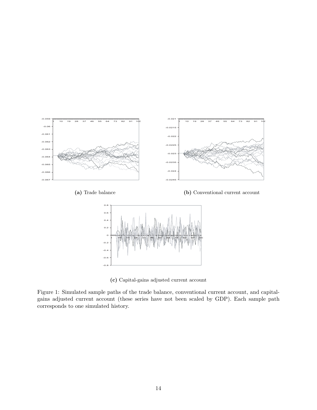

(c) Capital-gains adjusted current account

Figure 1: Simulated sample paths of the trade balance, conventional current account, and capitalgains adjusted current account (these series have not been scaled by GDP). Each sample path corresponds to one simulated history.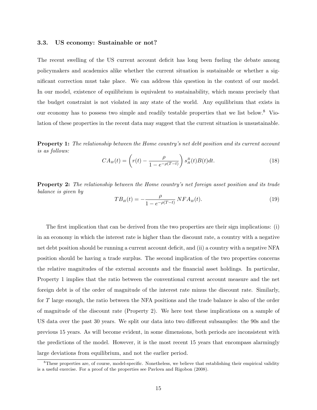### 3.3. US economy: Sustainable or not?

The recent swelling of the US current account deficit has long been fueling the debate among policymakers and academics alike whether the current situation is sustainable or whether a significant correction must take place. We can address this question in the context of our model. In our model, existence of equilibrium is equivalent to sustainability, which means precisely that the budget constraint is not violated in any state of the world. Any equilibrium that exists in our economy has to possess two simple and readily testable properties that we list below.<sup>8</sup> Violation of these properties in the recent data may suggest that the current situation is unsustainable.

**Property 1:** The relationship between the Home country's net debt position and its current account is as follows:  $\mathbf{r}$ 

$$
CA_H(t) = \left(r(t) - \frac{\rho}{1 - e^{-\rho(T - t)}}\right) s_H^B(t) B(t) dt.
$$
 (18)

Property 2: The relationship between the Home country's net foreign asset position and its trade balance is given by

$$
TB_H(t) = -\frac{\rho}{1 - e^{-\rho(T - t)}} NFA_H(t).
$$
\n(19)

The first implication that can be derived from the two properties are their sign implications: (i) in an economy in which the interest rate is higher than the discount rate, a country with a negative net debt position should be running a current account deficit, and (ii) a country with a negative NFA position should be having a trade surplus. The second implication of the two properties concerns the relative magnitudes of the external accounts and the financial asset holdings. In particular, Property 1 implies that the ratio between the conventional current account measure and the net foreign debt is of the order of magnitude of the interest rate minus the discount rate. Similarly, for T large enough, the ratio between the NFA positions and the trade balance is also of the order of magnitude of the discount rate (Property 2). We here test these implications on a sample of US data over the past 30 years. We split our data into two different subsamples: the 90s and the previous 15 years. As will become evident, in some dimensions, both periods are inconsistent with the predictions of the model. However, it is the most recent 15 years that encompass alarmingly large deviations from equilibrium, and not the earlier period.

<sup>&</sup>lt;sup>8</sup>These properties are, of course, model-specific. Nonetheless, we believe that establishing their empirical validity is a useful exercise. For a proof of the properties see Pavlova and Rigobon (2008).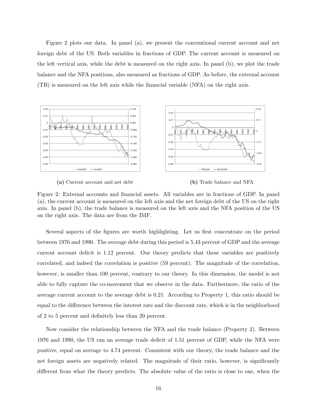Figure 2 plots our data. In panel (a), we present the conventional current account and net foreign debt of the US. Both variables in fractions of GDP. The current account is measured on the left vertical axis, while the debt is measured on the right axis. In panel (b), we plot the trade balance and the NFA positions, also measured as fractions of GDP. As before, the external account (TB) is measured on the left axis while the financial variable (NFA) on the right axis.





Figure 2: External accounts and financial assets. All variables are in fractions of GDP. In panel (a), the current account is measured on the left axis and the net foreign debt of the US on the right axis. In panel (b), the trade balance is measured on the left axis and the NFA position of the US on the right axis. The data are from the IMF.

Several aspects of the figures are worth highlighting. Let us first concentrate on the period between 1976 and 1990. The average debt during this period is 5.43 percent of GDP and the average current account deficit is 1.12 percent. Our theory predicts that these variables are positively correlated, and indeed the correlation is positive (59 percent). The magnitude of the correlation, however, is smaller than 100 percent, contrary to our theory. In this dimension, the model is not able to fully capture the co-movement that we observe in the data. Furthermore, the ratio of the average current account to the average debt is 0.21. According to Property 1, this ratio should be equal to the difference between the interest rate and the discount rate, which is in the neighborhood of 2 to 5 percent and definitely less than 20 percent.

Now consider the relationship between the NFA and the trade balance (Property 2). Between 1976 and 1990, the US ran an average trade deficit of 1.51 percent of GDP, while the NFA were positive, equal on average to 4.74 percent. Consistent with our theory, the trade balance and the net foreign assets are negatively related. The magnitude of their ratio, however, is significantly different from what the theory predicts. The absolute value of the ratio is close to one, when the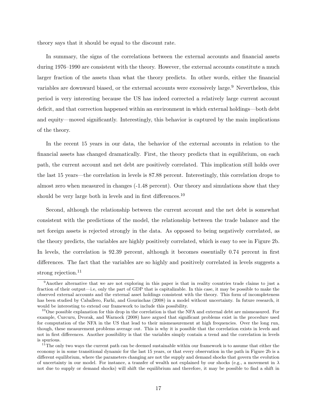theory says that it should be equal to the discount rate.

In summary, the signs of the correlations between the external accounts and financial assets during 1976–1990 are consistent with the theory. However, the external accounts constitute a much larger fraction of the assets than what the theory predicts. In other words, either the financial variables are downward biased, or the external accounts were excessively large.<sup>9</sup> Nevertheless, this period is very interesting because the US has indeed corrected a relatively large current account deficit, and that correction happened within an environment in which external holdings—both debt and equity—moved significantly. Interestingly, this behavior is captured by the main implications of the theory.

In the recent 15 years in our data, the behavior of the external accounts in relation to the financial assets has changed dramatically. First, the theory predicts that in equilibrium, on each path, the current account and net debt are positively correlated. This implication still holds over the last 15 years—the correlation in levels is 87.88 percent. Interestingly, this correlation drops to almost zero when measured in changes (-1.48 percent). Our theory and simulations show that they should be very large both in levels and in first differences.<sup>10</sup>

Second, although the relationship between the current account and the net debt is somewhat consistent with the predictions of the model, the relationship between the trade balance and the net foreign assets is rejected strongly in the data. As opposed to being negatively correlated, as the theory predicts, the variables are highly positively correlated, which is easy to see in Figure 2b. In levels, the correlation is 92.39 percent, although it becomes essentially 0.74 percent in first differences. The fact that the variables are so highly and positively correlated in levels suggests a strong rejection.<sup>11</sup>

<sup>9</sup>Another alternative that we are not exploring in this paper is that in reality countries trade claims to just a fraction of their output—i.e, only the part of GDP that is capitalizable. In this case, it may be possible to make the observed external accounts and the external asset holdings consistent with the theory. This form of incompleteness has been studied by Caballero, Farhi, and Gourinchas (2008) in a model without uncertainty. In future research, it would be interesting to extend our framework to include this possibility.

 $10$ One possible explanation for this drop in the correlation is that the NFA and external debt are mismeasured. For example, Curcuru, Dvorak, and Warnock (2008) have argued that significant problems exist in the procedure used for computation of the NFA in the US that lead to their mismeasurement at high frequencies. Over the long run, though, these measurement problems average out. This is why it is possible that the correlation exists in levels and not in first differences. Another possibility is that the variables simply contain a trend and the correlation in levels is spurious.

 $11$ The only two ways the current path can be deemed sustainable within our framework is to assume that either the economy is in some transitional dynamic for the last 15 years, or that every observation in the path in Figure 2b is a different equilibrium, where the parameters changing are not the supply and demand shocks that govern the evolution of uncertainty in our model. For instance, a transfer of wealth not explained by our shocks (e.g., a movement in  $\lambda$ not due to supply or demand shocks) will shift the equilibrium and therefore, it may be possible to find a shift in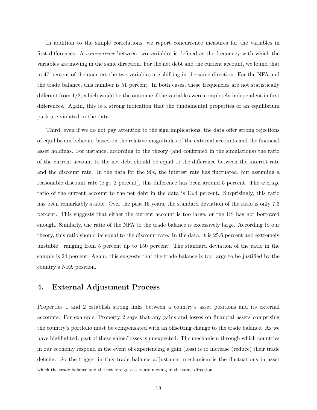In addition to the simple correlations, we report concurrence measures for the variables in first differences. A concurrence between two variables is defined as the frequency with which the variables are moving in the same direction. For the net debt and the current account, we found that in 47 percent of the quarters the two variables are shifting in the same direction. For the NFA and the trade balance, this number is 51 percent. In both cases, these frequencies are not statistically different from 1/2, which would be the outcome if the variables were completely independent in first differences. Again, this is a strong indication that the fundamental properties of an equilibrium path are violated in the data.

Third, even if we do not pay attention to the sign implications, the data offer strong rejections of equilibrium behavior based on the relative magnitudes of the external accounts and the financial asset holdings. For instance, according to the theory (and confirmed in the simulations) the ratio of the current account to the net debt should be equal to the difference between the interest rate and the discount rate. In the data for the 90s, the interest rate has fluctuated, but assuming a reasonable discount rate (e.g., 2 percent), this difference has been around 5 percent. The average ratio of the current account to the net debt in the data is 13.4 percent. Surprisingly, this ratio has been remarkably stable. Over the past 15 years, the standard deviation of the ratio is only 7.3 percent. This suggests that either the current account is too large, or the US has not borrowed enough. Similarly, the ratio of the NFA to the trade balance is excessively large. According to our theory, this ratio should be equal to the discount rate. In the data, it is 25.6 percent and extremely unstable—ranging from 5 percent up to 150 percent! The standard deviation of the ratio in the sample is 24 percent. Again, this suggests that the trade balance is too large to be justified by the country's NFA position.

# 4. External Adjustment Process

Properties 1 and 2 establish strong links between a country's asset positions and its external accounts. For example, Property 2 says that any gains and losses on financial assets comprising the country's portfolio must be compensated with an offsetting change to the trade balance. As we have highlighted, part of these gains/losses is unexpected. The mechanism through which countries in our economy respond in the event of experiencing a gain (loss) is to increase (reduce) their trade deficits. So the trigger in this trade balance adjustment mechanism is the fluctuations in asset

which the trade balance and the net foreign assets are moving in the same direction.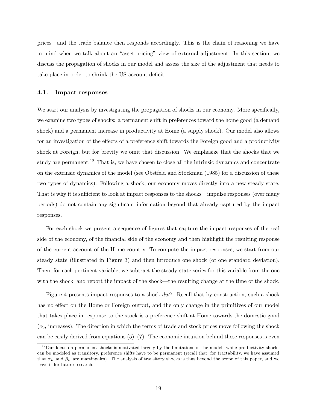prices—and the trade balance then responds accordingly. This is the chain of reasoning we have in mind when we talk about an "asset-pricing" view of external adjustment. In this section, we discuss the propagation of shocks in our model and assess the size of the adjustment that needs to take place in order to shrink the US account deficit.

#### 4.1. Impact responses

We start our analysis by investigating the propagation of shocks in our economy. More specifically, we examine two types of shocks: a permanent shift in preferences toward the home good (a demand shock) and a permanent increase in productivity at Home (a supply shock). Our model also allows for an investigation of the effects of a preference shift towards the Foreign good and a productivity shock at Foreign, but for brevity we omit that discussion. We emphasize that the shocks that we study are permanent.<sup>12</sup> That is, we have chosen to close all the intrinsic dynamics and concentrate on the extrinsic dynamics of the model (see Obstfeld and Stockman (1985) for a discussion of these two types of dynamics). Following a shock, our economy moves directly into a new steady state. That is why it is sufficient to look at impact responses to the shocks—impulse responses (over many periods) do not contain any significant information beyond that already captured by the impact responses.

For each shock we present a sequence of figures that capture the impact responses of the real side of the economy, of the financial side of the economy and then highlight the resulting response of the current account of the Home country. To compute the impact responses, we start from our steady state (illustrated in Figure 3) and then introduce one shock (of one standard deviation). Then, for each pertinent variable, we subtract the steady-state series for this variable from the one with the shock, and report the impact of the shock—the resulting change at the time of the shock.

Figure 4 presents impact responses to a shock  $dw^{\alpha}$ . Recall that by construction, such a shock has no effect on the Home or Foreign output, and the only change in the primitives of our model that takes place in response to the stock is a preference shift at Home towards the domestic good  $(\alpha_H$  increases). The direction in which the terms of trade and stock prices move following the shock can be easily derived from equations  $(5)-(7)$ . The economic intuition behind these responses is even

<sup>&</sup>lt;sup>12</sup>Our focus on permanent shocks is motivated largely by the limitations of the model: while productivity shocks can be modeled as transitory, preference shifts have to be permanent (recall that, for tractability, we have assumed that  $\alpha_H$  and  $\beta_H$  are martingales). The analysis of transitory shocks is thus beyond the scope of this paper, and we leave it for future research.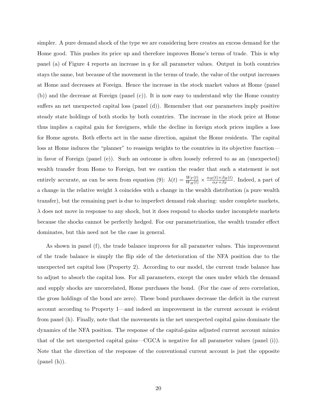simpler. A pure demand shock of the type we are considering here creates an excess demand for the Home good. This pushes its price up and therefore improves Home's terms of trade. This is why panel (a) of Figure 4 reports an increase in  $q$  for all parameter values. Output in both countries stays the same, but because of the movement in the terms of trade, the value of the output increases at Home and decreases at Foreign. Hence the increase in the stock market values at Home (panel (b)) and the decrease at Foreign (panel (c)). It is now easy to understand why the Home country suffers an net unexpected capital loss (panel (d)). Remember that our parameters imply positive steady state holdings of both stocks by both countries. The increase in the stock price at Home thus implies a capital gain for foreigners, while the decline in foreign stock prices implies a loss for Home agents. Both effects act in the same direction, against the Home residents. The capital loss at Home induces the "planner" to reassign weights to the countries in its objective function in favor of Foreign (panel (e)). Such an outcome is often loosely referred to as an (unexpected) wealth transfer from Home to Foreign, but we caution the reader that such a statement is not entirely accurate, as can be seen from equation (9):  $\lambda(t) = \frac{W_F(t)}{W_H(t)} \times \frac{\alpha_H(t) + \beta_H(t)}{\alpha_F + \beta_F}$  $\frac{\Gamma(t)+\beta_H(t)}{\alpha_F+\beta_F}$ . Indeed, a part of a change in the relative weight  $\lambda$  coincides with a change in the wealth distribution (a pure wealth transfer), but the remaining part is due to imperfect demand risk sharing: under complete markets,  $\lambda$  does not move in response to any shock, but it does respond to shocks under incomplete markets because the shocks cannot be perfectly hedged. For our parametrization, the wealth transfer effect dominates, but this need not be the case in general.

As shown in panel (f), the trade balance improves for all parameter values. This improvement of the trade balance is simply the flip side of the deterioration of the NFA position due to the unexpected net capital loss (Property 2). According to our model, the current trade balance has to adjust to absorb the capital loss. For all parameters, except the ones under which the demand and supply shocks are uncorrelated, Home purchases the bond. (For the case of zero correlation, the gross holdings of the bond are zero). These bond purchases decrease the deficit in the current account according to Property 1—and indeed an improvement in the current account is evident from panel (h). Finally, note that the movements in the net unexpected capital gains dominate the dynamics of the NFA position. The response of the capital-gains adjusted current account mimics that of the net unexpected capital gains—CGCA is negative for all parameter values (panel (i)). Note that the direction of the response of the conventional current account is just the opposite  $(panel(h)).$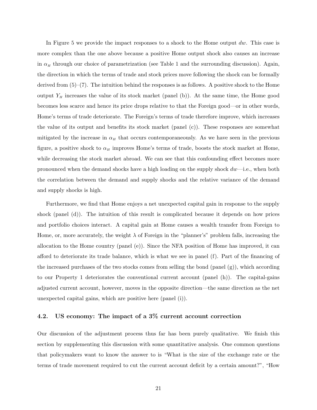In Figure 5 we provide the impact responses to a shock to the Home output  $dw$ . This case is more complex than the one above because a positive Home output shock also causes an increase in  $\alpha_H$  through our choice of parametrization (see Table 1 and the surrounding discussion). Again, the direction in which the terms of trade and stock prices move following the shock can be formally derived from (5)–(7). The intuition behind the responses is as follows. A positive shock to the Home output  $Y_H$  increases the value of its stock market (panel (b)). At the same time, the Home good becomes less scarce and hence its price drops relative to that the Foreign good—or in other words, Home's terms of trade deteriorate. The Foreign's terms of trade therefore improve, which increases the value of its output and benefits its stock market (panel (c)). These responses are somewhat mitigated by the increase in  $\alpha_H$  that occurs contemporaneously. As we have seen in the previous figure, a positive shock to  $\alpha_H$  improves Home's terms of trade, boosts the stock market at Home, while decreasing the stock market abroad. We can see that this confounding effect becomes more pronounced when the demand shocks have a high loading on the supply shock  $dw$ —i.e., when both the correlation between the demand and supply shocks and the relative variance of the demand and supply shocks is high.

Furthermore, we find that Home enjoys a net unexpected capital gain in response to the supply shock (panel (d)). The intuition of this result is complicated because it depends on how prices and portfolio choices interact. A capital gain at Home causes a wealth transfer from Foreign to Home, or, more accurately, the weight  $\lambda$  of Foreign in the "planner's" problem falls, increasing the allocation to the Home country (panel (e)). Since the NFA position of Home has improved, it can afford to deteriorate its trade balance, which is what we see in panel (f). Part of the financing of the increased purchases of the two stocks comes from selling the bond (panel  $(g)$ ), which according to our Property 1 deteriorates the conventional current account (panel (h)). The capital-gains adjusted current account, however, moves in the opposite direction—the same direction as the net unexpected capital gains, which are positive here (panel (i)).

# 4.2. US economy: The impact of a 3% current account correction

Our discussion of the adjustment process thus far has been purely qualitative. We finish this section by supplementing this discussion with some quantitative analysis. One common questions that policymakers want to know the answer to is "What is the size of the exchange rate or the terms of trade movement required to cut the current account deficit by a certain amount?", "How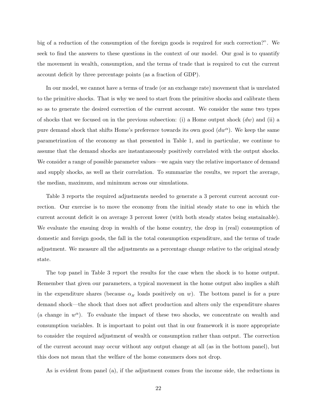big of a reduction of the consumption of the foreign goods is required for such correction?". We seek to find the answers to these questions in the context of our model. Our goal is to quantify the movement in wealth, consumption, and the terms of trade that is required to cut the current account deficit by three percentage points (as a fraction of GDP).

In our model, we cannot have a terms of trade (or an exchange rate) movement that is unrelated to the primitive shocks. That is why we need to start from the primitive shocks and calibrate them so as to generate the desired correction of the current account. We consider the same two types of shocks that we focused on in the previous subsection: (i) a Home output shock  $(dw)$  and (ii) a pure demand shock that shifts Home's preference towards its own good  $(dw^{\alpha})$ . We keep the same parametrization of the economy as that presented in Table 1, and in particular, we continue to assume that the demand shocks are instantaneously positively correlated with the output shocks. We consider a range of possible parameter values—we again vary the relative importance of demand and supply shocks, as well as their correlation. To summarize the results, we report the average, the median, maximum, and minimum across our simulations.

Table 3 reports the required adjustments needed to generate a 3 percent current account correction. Our exercise is to move the economy from the initial steady state to one in which the current account deficit is on average 3 percent lower (with both steady states being sustainable). We evaluate the ensuing drop in wealth of the home country, the drop in (real) consumption of domestic and foreign goods, the fall in the total consumption expenditure, and the terms of trade adjustment. We measure all the adjustments as a percentage change relative to the original steady state.

The top panel in Table 3 report the results for the case when the shock is to home output. Remember that given our parameters, a typical movement in the home output also implies a shift in the expenditure shares (because  $\alpha_H$  loads positively on w). The bottom panel is for a pure demand shock—the shock that does not affect production and alters only the expenditure shares (a change in  $w^{\alpha}$ ). To evaluate the impact of these two shocks, we concentrate on wealth and consumption variables. It is important to point out that in our framework it is more appropriate to consider the required adjustment of wealth or consumption rather than output. The correction of the current account may occur without any output change at all (as in the bottom panel), but this does not mean that the welfare of the home consumers does not drop.

As is evident from panel (a), if the adjustment comes from the income side, the reductions in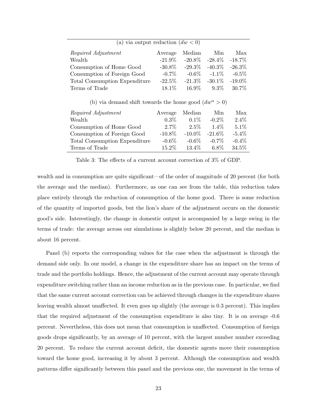| (a) via output reduction $(dw < 0)$ |           |            |                               |           |  |  |  |  |  |
|-------------------------------------|-----------|------------|-------------------------------|-----------|--|--|--|--|--|
| Required Adjustment                 | Average   | Median     | Min                           | Max       |  |  |  |  |  |
| Wealth                              | $-21.9\%$ |            | $-20.8\%$ $-28.4\%$ $-18.7\%$ |           |  |  |  |  |  |
| Consumption of Home Good            | $-30.8\%$ | -29.3 $\%$ | $-40.3\%$                     | $-26.3\%$ |  |  |  |  |  |
| Consumption of Foreign Good         | $-0.7\%$  | $-0.6\%$   | $-1.1\%$                      | $-0.5\%$  |  |  |  |  |  |
| Total Consumption Expenditure       | $-22.5\%$ | $-21.3\%$  | $-30.1\%$                     | $-19.0\%$ |  |  |  |  |  |
| Terms of Trade                      | 18.1%     | 16.9%      | $9.3\%$                       | 30.7%     |  |  |  |  |  |
|                                     |           |            |                               |           |  |  |  |  |  |

(b) via demand shift towards the home good  $(dw^{\alpha} > 0)$ 

| Required Adjustment           | Average   | Median    | Min       | Max      |
|-------------------------------|-----------|-----------|-----------|----------|
| Wealth                        | $0.3\%$   | $0.1\%$   | $-0.2\%$  | $2.4\%$  |
| Consumption of Home Good      | $2.7\%$   | $2.5\%$   | $1.4\%$   | $5.1\%$  |
| Consumption of Foreign Good   | $-10.8\%$ | $-10.0\%$ | $-21.6\%$ | $-5.4\%$ |
| Total Consumption Expenditure | $-0.6\%$  | $-0.6\%$  | $-0.7\%$  | $-0.4\%$ |
| Terms of Trade                | 15.2%     | $13.4\%$  | 6.8%      | 34.5\%   |

Table 3: The effects of a current account correction of 3% of GDP.

wealth and in consumption are quite significant—of the order of magnitude of 20 percent (for both the average and the median). Furthermore, as one can see from the table, this reduction takes place entirely through the reduction of consumption of the home good. There is some reduction of the quantity of imported goods, but the lion's share of the adjustment occurs on the domestic good's side. Interestingly, the change in domestic output is accompanied by a large swing in the terms of trade: the average across our simulations is slightly below 20 percent, and the median is about 16 percent.

Panel (b) reports the corresponding values for the case when the adjustment is through the demand side only. In our model, a change in the expenditure share has an impact on the terms of trade and the portfolio holdings. Hence, the adjustment of the current account may operate through expenditure switching rather than an income reduction as in the previous case. In particular, we find that the same current account correction can be achieved through changes in the expenditure shares leaving wealth almost unaffected. It even goes up slightly (the average is 0.3 percent). This implies that the required adjustment of the consumption expenditure is also tiny. It is on average -0.6 percent. Nevertheless, this does not mean that consumption is unaffected. Consumption of foreign goods drops significantly, by an average of 10 percent, with the largest number number exceeding 20 percent. To reduce the current account deficit, the domestic agents move their consumption toward the home good, increasing it by about 3 percent. Although the consumption and wealth patterns differ significantly between this panel and the previous one, the movement in the terms of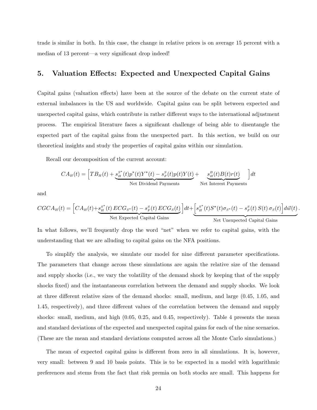trade is similar in both. In this case, the change in relative prices is on average 15 percent with a median of 13 percent—a very significant drop indeed!

# 5. Valuation Effects: Expected and Unexpected Capital Gains

Capital gains (valuation effects) have been at the source of the debate on the current state of external imbalances in the US and worldwide. Capital gains can be split between expected and unexpected capital gains, which contribute in rather different ways to the international adjustment process. The empirical literature faces a significant challenge of being able to disentangle the expected part of the capital gains from the unexpected part. In this section, we build on our theoretical insights and study the properties of capital gains within our simulation.

Recall our decomposition of the current account:

$$
CA_H(t) = \left[ TB_H(t) + \underbrace{s_H^{S^*}(t) p^*(t) Y^*(t) - s_F^S(t) p(t) Y(t)}_{\text{Net Dividend Payments}} + \underbrace{s_H^B(t) B(t) r(t)}_{\text{Net Interest Payments}} \right] dt
$$

and

$$
CGCA_H(t) = \left[CA_H(t) + \underbrace{s_H^{S^*}(t) \, ECG_{S^*}(t) - s_F^S(t) \, ECG_S(t)}_{\text{Net Expected Capital Gains}}\right] dt + \underbrace{\left[s_H^{S^*}(t) S^*(t) \sigma_{S^*}(t) - s_F^S(t) \, S(t) \, \sigma_S(t)\right]}_{\text{Net Unexpected Capital Gains}}
$$

.

In what follows, we'll frequently drop the word "net" when we refer to capital gains, with the understanding that we are alluding to capital gains on the NFA positions.

To simplify the analysis, we simulate our model for nine different parameter specifications. The parameters that change across these simulations are again the relative size of the demand and supply shocks (i.e., we vary the volatility of the demand shock by keeping that of the supply shocks fixed) and the instantaneous correlation between the demand and supply shocks. We look at three different relative sizes of the demand shocks: small, medium, and large (0.45, 1.05, and 1.45, respectively), and three different values of the correlation between the demand and supply shocks: small, medium, and high (0.05, 0.25, and 0.45, respectively). Table 4 presents the mean and standard deviations of the expected and unexpected capital gains for each of the nine scenarios. (These are the mean and standard deviations computed across all the Monte Carlo simulations.)

The mean of expected capital gains is different from zero in all simulations. It is, however, very small: between 9 and 10 basis points. This is to be expected in a model with logarithmic preferences and stems from the fact that risk premia on both stocks are small. This happens for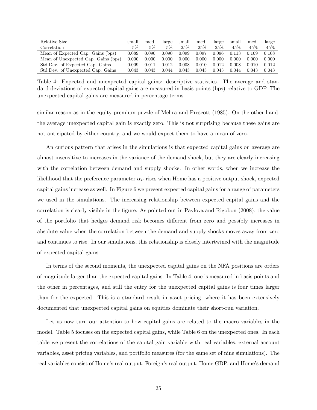| Relative Size                       | small | med.  | large | small | med.  | large  | small | med.  | large |
|-------------------------------------|-------|-------|-------|-------|-------|--------|-------|-------|-------|
| Correlation                         | $5\%$ | $5\%$ | 5%    | 25%   | 25\%  | $25\%$ | 45%   | 45%   | 45\%  |
| Mean of Expected Cap. Gains (bps)   | 0.089 | 0.090 | 0.090 | 0.099 | 0.097 | 0.096  | 0.113 | 0.109 | 0.108 |
| Mean of Unexpected Cap. Gains (bps) | 0.000 | 0.000 | 0.000 | 0.000 | 0.000 | 0.000  | 0.000 | 0.000 | 0.000 |
| Std.Dev. of Expected Cap. Gains     | 0.009 | 0.011 | 0.012 | 0.008 | 0.010 | 0.012  | 0.008 | 0.010 | 0.012 |
| Std.Dev. of Unexpected Cap. Gains   | 0.043 | 0.043 | 0.044 | 0.043 | 0.043 | 0.043  | 0.044 | 0.043 | 0.043 |

Table 4: Expected and unexpected capital gains: descriptive statistics. The average and standard deviations of expected capital gains are measured in basis points (bps) relative to GDP. The unexpected capital gains are measured in percentage terms.

similar reason as in the equity premium puzzle of Mehra and Prescott (1985). On the other hand, the average unexpected capital gain is exactly zero. This is not surprising because these gains are not anticipated by either country, and we would expect them to have a mean of zero.

An curious pattern that arises in the simulations is that expected capital gains on average are almost insensitive to increases in the variance of the demand shock, but they are clearly increasing with the correlation between demand and supply shocks. In other words, when we increase the likelihood that the preference parameter  $\alpha_H$  rises when Home has a positive output shock, expected capital gains increase as well. In Figure 6 we present expected capital gains for a range of parameters we used in the simulations. The increasing relationship between expected capital gains and the correlation is clearly visible in the figure. As pointed out in Pavlova and Rigobon (2008), the value of the portfolio that hedges demand risk becomes different from zero and possibly increases in absolute value when the correlation between the demand and supply shocks moves away from zero and continues to rise. In our simulations, this relationship is closely intertwined with the magnitude of expected capital gains.

In terms of the second moments, the unexpected capital gains on the NFA positions are orders of magnitude larger than the expected capital gains. In Table 4, one is measured in basis points and the other in percentages, and still the entry for the unexpected capital gains is four times larger than for the expected. This is a standard result in asset pricing, where it has been extensively documented that unexpected capital gains on equities dominate their short-run variation.

Let us now turn our attention to how capital gains are related to the macro variables in the model. Table 5 focuses on the expected capital gains, while Table 6 on the unexpected ones. In each table we present the correlations of the capital gain variable with real variables, external account variables, asset pricing variables, and portfolio measures (for the same set of nine simulations). The real variables consist of Home's real output, Foreign's real output, Home GDP, and Home's demand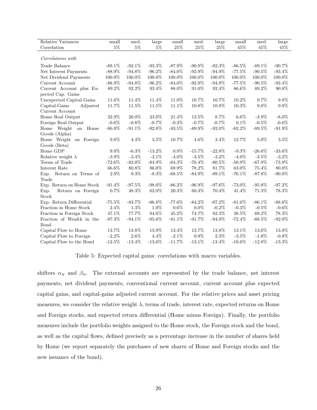| Relative Variances           | small     | med.      | large     | small     | med.      | large     | small     | med.      | large     |
|------------------------------|-----------|-----------|-----------|-----------|-----------|-----------|-----------|-----------|-----------|
| Correlation                  | $5\%$     | $5\%$     | $5\%$     | 25\%      | 25\%      | 25\%      | 45\%      | 45\%      | $45\%$    |
| Correlations with            |           |           |           |           |           |           |           |           |           |
|                              |           |           |           |           |           |           |           |           |           |
| Trade Balance                | $-89.1\%$ | $-92.1\%$ | $-93.3\%$ | $-87.9\%$ | $-90.9\%$ | $-92.3\%$ | $-86.5\%$ | $-89.1\%$ | $-90.7\%$ |
| Net Interest Payments        | $-88.9\%$ | $-94.8\%$ | $-96.2%$  | $-84.0\%$ | $-92.9%$  | $-94.9\%$ | $-77.5%$  | $-90.5%$  | $-93.4\%$ |
| Net Dividend Payments        | 100.0%    | 100.0%    | 100.0%    | 100.0%    | 100.0%    | $100.0\%$ | 100.0%    | 100.0%    | 100.0%    |
| Current Account              | $-88.9\%$ | $-94.8\%$ | $-96.2\%$ | $-84.0\%$ | $-92.9\%$ | $-94.9\%$ | $-77.5%$  | $-90.5%$  | $-93.4\%$ |
| Current Account plus Ex-     | 89.2%     | 92.2%     | 93.4%     | 88.0%     | 91.0%     | 92.4%     | 86.6%     | 89.2%     | 90.8%     |
| pected Cap. Gains            |           |           |           |           |           |           |           |           |           |
| Unexpected Capital Gains     | 11.6%     | 11.4%     | 11.4\%    | 11.0%     | 10.7%     | 10.7%     | 10.2%     | 9.7%      | 9.8%      |
| Capital-Gains<br>Adjusted    | 11.7%     | $11.5\%$  | 11.5%     | 11.1%     | 10.8%     | 10.8%     | $10.3\%$  | $9.8\%$   | $9.9\%$   |
| Current Account              |           |           |           |           |           |           |           |           |           |
| Home Real Output             | 32.9%     | 26.0%     | $23.0\%$  | 21.4%     | 12.5%     | 8.7%      | 6.6%      | $-3.9\%$  | $-8.0\%$  |
| Foreign Real Output          | $-0.6\%$  | $-0.8\%$  | $-0.7\%$  | $-0.3\%$  | $-0.7\%$  | $-0.7\%$  | 0.1%      | $-0.5\%$  | $-0.6\%$  |
| Weight<br>Home<br>on<br>Home | $-86.0\%$ | $-91.1\%$ | $-92.8\%$ | $-83.5%$  | $-89.9\%$ | $-92.0\%$ | $-82.2\%$ | $-89.5\%$ | $-91.9\%$ |
| Goods (Alpha)                |           |           |           |           |           |           |           |           |           |
| Home Weight<br>on Foreign    | 9.8%      | 4.4%      | 3.5%      | 10.7%     | 4.6%      | 3.4%      | 12.7%     | 5.0%      | $3.5\%$   |
| Goods (Beta)                 |           |           |           |           |           |           |           |           |           |
| Home GDP                     | $9.0\%$   | $-6.3\%$  | $-13.2\%$ | $0.9\%$   | $-15.7\%$ | $-22.8\%$ | $-9.3\%$  | $-26.6\%$ | $-33.6\%$ |
| Relative weight $\lambda$    | $-3.9\%$  | $-3.4\%$  | $-3.1\%$  | $-4.0\%$  | $-3.5%$   | $-3.2\%$  | $-4.0\%$  | $-3.5\%$  | $-3.2\%$  |
| Terms of Trade               | $-72.6%$  | $-82.0\%$ | $-84.9\%$ | $-64.3\%$ | $-76.4\%$ | $-80.5\%$ | $-50.9\%$ | $-67.9\%$ | $-73.9\%$ |
| Interest Rate                | 66.6%     | $80.8\%$  | 86.0%     | 69.9%     | 78.2%     | 81.7%     | $63.0\%$  | 75.4%     | 80.0%     |
| Return on Terms of<br>Exp.   | $2.9\%$   | $0.3\%$   | $-8.3\%$  | $-68.5\%$ | $-84.9\%$ | $-89.1\%$ | $-76.1\%$ | $-87.8\%$ | $-90.9\%$ |
| Trade                        |           |           |           |           |           |           |           |           |           |
| Exp. Return on Home Stock    | $-91.4\%$ | $-97.5%$  | $-98.0\%$ | $-86.2\%$ | $-96.9\%$ | $-97.6\%$ | $-73.0\%$ | $-95.8\%$ | $-97.2\%$ |
| Return on Foreign<br>Exp.    | 0.7%      | 48.3%     | 62.0%     | 20.3%     | 60.3%     | 70.4%     | 41.4%     | 71.3%     | $78.3\%$  |
| Stock                        |           |           |           |           |           |           |           |           |           |
| Exp. Return Differential     | $-75.5\%$ | $-83.7%$  | $-86.8\%$ | $-77.6%$  | $-84.2\%$ | $-87.2%$  | $-81.6\%$ | $-86.1\%$ | $-88.6\%$ |
| Fraction in Home Stock       | 2.4%      | 1.3%      | 1.0%      | 0.6%      | $0.0\%$   | $-0.2\%$  | $-0.3\%$  | $-0.5\%$  | $-0.6\%$  |
| Fraction in Foreign Stock    | 47.1\%    | 77.7%     | 84.6%     | 45.2%     | 74.7%     | 82.3%     | 38.5%     | 69.2%     | 78.3%     |
| Fraction of Wealth in the    | $-87.3%$  | $-94.1\%$ | $-95.6\%$ | $-81.1\%$ | $-91.7\%$ | $-94.0\%$ | $-72.4\%$ | $-88.5\%$ | $-92.0\%$ |
| Bond                         |           |           |           |           |           |           |           |           |           |
| Capital Flow to Home         | 13.7%     | 13.8%     | 13.9%     | 13.4%     | 13.7%     | 13.8%     | 13.1%     | 13.6%     | 13.8%     |
| Capital Flow to Foreign      | $-2.2\%$  | 2.6%      | $4.4\%$   | $-2.1\%$  | $0.9\%$   | $2.3\%$   | $-3.5\%$  | $-1.8\%$  | $-0.8\%$  |
| Capital Flow to the Bond     | $-12.5%$  | $-13.4%$  | $-13.6\%$ | $-11.7\%$ | $-13.1%$  | $-13.4\%$ | $-10.6\%$ | $-12.8%$  | $-13.3\%$ |

Table 5: Expected capital gains: correlations with macro variables.

shifters  $\alpha_H$  and  $\beta_H$ . The external accounts are represented by the trade balance, net interest payments, net dividend payments, conventional current account, current account plus expected capital gains, and capital-gains adjusted current account. For the relative prices and asset pricing measures, we consider the relative weight  $\lambda$ , terms of trade, interest rate, expected returns on Home and Foreign stocks, and expected return differential (Home minus Foreign). Finally, the portfolio measures include the portfolio weights assigned to the Home stock, the Foreign stock and the bond, as well as the capital flows, defined precisely as a percentage increase in the number of shares held by Home (we report separately the purchases of new shares of Home and Foreign stocks and the new issuance of the bond).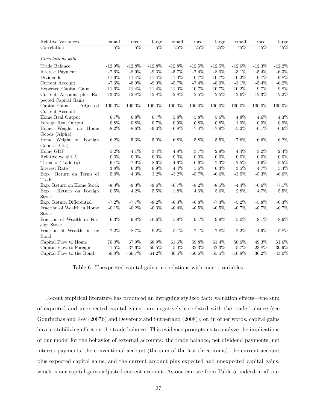| Relative Variances         | small     | med.     | large     | small     | med.     | large    | small     | med.      | large     |
|----------------------------|-----------|----------|-----------|-----------|----------|----------|-----------|-----------|-----------|
| Correlation                | $5\%$     | $5\%$    | $5\%$     | 25%       | 25%      | 25%      | 45%       | 45%       | 45\%      |
|                            |           |          |           |           |          |          |           |           |           |
| Correlations with          |           |          |           |           |          |          |           |           |           |
| Trade Balance              | $-12.9\%$ | $-12.8%$ | $-12.8\%$ | $-12.8\%$ | $-12.5%$ | $-12.5%$ | $-12.6\%$ | $-12.3%$  | $-12.2\%$ |
| Interest Payment           | $-7.6\%$  | $-8.9\%$ | $-9.3\%$  | $-5.7\%$  | $-7.4%$  | $-8.0\%$ | $-3.1%$   | $-5.4%$   | $-6.3\%$  |
| Dividends                  | 11.6%     | 11.4%    | 11.4%     | 11.0%     | 10.7%    | 10.7%    | 10.2%     | 9.7%      | $9.8\%$   |
| Current Account            | $-7.6\%$  | $-8.9\%$ | $-9.3\%$  | $-5.7\%$  | $-7.4%$  | $-8.0\%$ | $-3.1\%$  | $-5.4\%$  | $-6.2\%$  |
| Expected Capital Gains     | 11.6%     | 11.4%    | 11.4%     | 11.0%     | 10.7%    | 10.7%    | 10.2%     | 9.7%      | $9.8\%$   |
| Current Account plus Ex-   | 13.0%     | 12.8%    | 12.8%     | 12.8%     | $12.5\%$ | $12.5\%$ | 12.6%     | 12.3%     | 12.2%     |
| pected Capital Gains       |           |          |           |           |          |          |           |           |           |
| Capital-Gains<br>Adjusted  | 100.0%    | 100.0%   | 100.0%    | 100.0%    | 100.0%   | 100.0%   | 100.0%    | 100.0%    | 100.0%    |
| Current Account            |           |          |           |           |          |          |           |           |           |
| Home Real Output           | 6.7%      | 6.8%     | 6.7%      | 5.8%      | 5.8%     | 5.6%     | 4.8%      | 4.6%      | 4.3%      |
| Foreign Real Output        | 0.8%      | 0.8%     | 0.7%      | $0.9\%$   | $0.8\%$  | $0.8\%$  | 1.0%      | $0.9\%$   | $0.9\%$   |
| Weight<br>on Home<br>Home  | $-8.2\%$  | $-8.6\%$ | $-9.0\%$  | $-6.8\%$  | $-7.4\%$ | $-7.9\%$ | $-5.2\%$  | $-6.1\%$  | $-6.6\%$  |
| Goods (Alpha)              |           |          |           |           |          |          |           |           |           |
| Home Weight on Foreign     | $6.2\%$   | 5.3%     | $5.0\%$   | $6.8\%$   | 5.8%     | $5.5\%$  | 7.6%      | $6.6\%$   | $6.2\%$   |
| Goods (Beta)               |           |          |           |           |          |          |           |           |           |
| Home GDP                   | 5.2%      | 4.1%     | 3.4%      | 4.8%      | 3.7%     | 2.9%     | 4.4%      | 3.2%      | 2.4%      |
| Relative weight $\lambda$  | $0.0\%$   | $0.0\%$  | $0.0\%$   | $0.0\%$   | $0.0\%$  | $0.0\%$  | $0.0\%$   | $0.0\%$   | $0.0\%$   |
| Terms of Trade (q)         | $-6.1\%$  | $-7.9\%$ | $-8.6\%$  | $-4.6\%$  | $-6.6\%$ | $-7.3%$  | $-2.5%$   | $-4.6\%$  | $-5.5%$   |
| Interest Rate              | $3.8\%$   | $6.0\%$  | $6.9\%$   | $4.4\%$   | $5.6\%$  | $6.3\%$  | $3.5\%$   | 4.7%      | $5.4\%$   |
| Exp. Return on Terms of    | $5.0\%$   | $4.3\%$  | $3.2\%$   | $-3.2\%$  | $-5.7\%$ | $-6.6\%$ | $-3.5\%$  | $-5.3\%$  | $-6.0\%$  |
| Trade                      |           |          |           |           |          |          |           |           |           |
| Exp. Return on Home Stock  | $-8.3\%$  | $-9.3\%$ | $-9.6\%$  | $-6.7\%$  | $-8.2\%$ | $-8.5\%$ | $-4.4\%$  | $-6.6\%$  | $-7.1\%$  |
| Return on Foreign<br>Exp.  | 0.5%      | $4.2\%$  | $5.5\%$   | $1.8\%$   | $4.6\%$  | $5.6\%$  | $2.8\%$   | 4.7%      | $5.5\%$   |
| Stock                      |           |          |           |           |          |          |           |           |           |
| Exp. Return Differential   | $-7.2\%$  | $-7.7%$  | $-8.2\%$  | $-6.3\%$  | $-6.8\%$ | $-7.3%$  | $-5.2\%$  | $-5.8\%$  | $-6.3\%$  |
| Fraction of Wealth in Home | $-0.1%$   | $-0.2\%$ | $-0.3\%$  | $-0.4\%$  | $-0.5\%$ | $-0.5\%$ | $-0.7%$   | $-0.7%$   | $-0.7\%$  |
| Stock                      |           |          |           |           |          |          |           |           |           |
| Fraction of Wealth in For- | $6.3\%$   | $9.8\%$  | $10.6\%$  | $5.9\%$   | $9.1\%$  | $9.9\%$  | $5.0\%$   | $8.1\%$   | $8.9\%$   |
| eign Stock                 |           |          |           |           |          |          |           |           |           |
| Fraction of Wealth in the  | $-7.2%$   | $-8.7\%$ | $-9.2\%$  | $-5.1\%$  | $-7.1\%$ | $-7.8\%$ | $-2.2\%$  | $-4.9\%$  | $-5.8\%$  |
| Bond                       |           |          |           |           |          |          |           |           |           |
| Capital Flow to Home       | 70.0%     | 67.9%    | 68.9%     | 61.6%     | $59.8\%$ | 61.4%    | 50.6%     | 49.3%     | 51.6%     |
| Capital Flow to Foreign    | $-1.5%$   | 37.6%    | $50.5\%$  | $5.0\%$   | $32.3\%$ | $42.3\%$ | 5.7%      | 23.8%     | $30.9\%$  |
| Capital Flow to the Bond   | $-50.8%$  | $-60.7%$ | $-64.2\%$ | $-36.5%$  | $-50.6%$ | $-55.5%$ | $-16.8\%$ | $-36.2\%$ | $-43.0\%$ |

Table 6: Unexpected capital gains: correlations with macro variables.

Recent empirical literature has produced an intriguing stylized fact: valuation effects—the sum of expected and unexpected capital gains—are negatively correlated with the trade balance (see Gourinchas and Rey (2007b) and Devereux and Sutherland (2008)), or, in other words, capital gains have a stabilizing effect on the trade balance. This evidence prompts us to analyze the implications of our model for the behavior of external accounts: the trade balance, net dividend payments, net interest payments, the conventional account (the sum of the last three items), the current account plus expected capital gains, and the current account plus expected and unexpected capital gains, which is our capital-gains adjusted current account. As one can see from Table 5, indeed in all our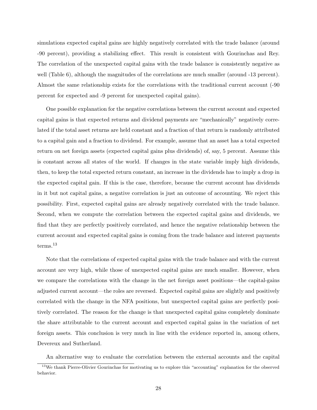simulations expected capital gains are highly negatively correlated with the trade balance (around -90 percent), providing a stabilizing effect. This result is consistent with Gourinchas and Rey. The correlation of the unexpected capital gains with the trade balance is consistently negative as well (Table 6), although the magnitudes of the correlations are much smaller (around -13 percent). Almost the same relationship exists for the correlations with the traditional current account (-90 percent for expected and -9 percent for unexpected capital gains).

One possible explanation for the negative correlations between the current account and expected capital gains is that expected returns and dividend payments are "mechanically" negatively correlated if the total asset returns are held constant and a fraction of that return is randomly attributed to a capital gain and a fraction to dividend. For example, assume that an asset has a total expected return on net foreign assets (expected capital gains plus dividends) of, say, 5 percent. Assume this is constant across all states of the world. If changes in the state variable imply high dividends, then, to keep the total expected return constant, an increase in the dividends has to imply a drop in the expected capital gain. If this is the case, therefore, because the current account has dividends in it but not capital gains, a negative correlation is just an outcome of accounting. We reject this possibility. First, expected capital gains are already negatively correlated with the trade balance. Second, when we compute the correlation between the expected capital gains and dividends, we find that they are perfectly positively correlated, and hence the negative relationship between the current account and expected capital gains is coming from the trade balance and interest payments terms.<sup>13</sup>

Note that the correlations of expected capital gains with the trade balance and with the current account are very high, while those of unexpected capital gains are much smaller. However, when we compare the correlations with the change in the net foreign asset positions—the capital-gains adjusted current account—the roles are reversed. Expected capital gains are slightly and positively correlated with the change in the NFA positions, but unexpected capital gains are perfectly positively correlated. The reason for the change is that unexpected capital gains completely dominate the share attributable to the current account and expected capital gains in the variation of net foreign assets. This conclusion is very much in line with the evidence reported in, among others, Devereux and Sutherland.

An alternative way to evaluate the correlation between the external accounts and the capital

<sup>&</sup>lt;sup>13</sup>We thank Pierre-Olivier Gourinchas for motivating us to explore this "accounting" explanation for the observed behavior.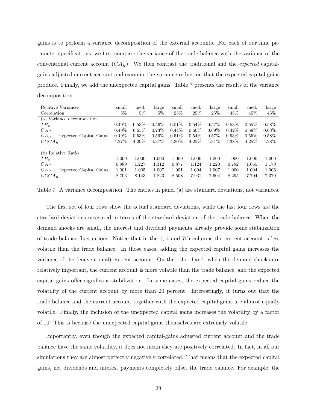gains is to perform a variance decomposition of the external accounts. For each of our nine parameter specifications, we first compare the variance of the trade balance with the variance of the conventional current account  $(CA_H)$ . We then contrast the traditional and the *expected* capitalgains adjusted current account and examine the variance reduction that the expected capital gains produce. Finally, we add the unexpected capital gains. Table 7 presents the results of the variance decomposition.

| Relative Variances              | small    | med.     | large    | small    | med.     | large    | small    | med.     | large    |
|---------------------------------|----------|----------|----------|----------|----------|----------|----------|----------|----------|
| Correlation                     | $5\%$    | $5\%$    | $5\%$    | 25\%     | 25\%     | 25\%     | 45\%     | 45\%     | 45\%     |
| (a) Variance decomposition      |          |          |          |          |          |          |          |          |          |
| TB <sub>H</sub>                 | $0.49\%$ | 0.53%    | $0.56\%$ | $0.51\%$ | $0.54\%$ | $0.57\%$ | $0.53\%$ | $0.55\%$ | $0.58\%$ |
| CA <sub>H</sub>                 | $0.49\%$ | $0.65\%$ | $0.73\%$ | $0.44\%$ | $0.60\%$ | $0.69\%$ | $0.42\%$ | $0.59\%$ | $0.68\%$ |
| $CA_H$ + Expected Capital Gains | $0.49\%$ | 0.53%    | $0.56\%$ | 0.51%    | $0.54\%$ | $0.57\%$ | $0.53\%$ | $0.55\%$ | $0.58\%$ |
| CGCA <sub>H</sub>               | 4.27\%   | $4.29\%$ | 4.37\%   | 4.30\%   | $4.25\%$ | 4.31\%   | 4.38%    | 4.25%    | 4.28\%   |
| (b) Relative Ratio              |          |          |          |          |          |          |          |          |          |
| TB <sub>H</sub>                 | 1.000    | 1.000    | 1.000    | 1.000    | 1.000    | 1.000    | 1.000    | 1.000    | 1.000    |
| CA <sub>H</sub>                 | 0.989    | 1.227    | 1.312    | 0.877    | 1.124    | 1.220    | 0.792    | 1.065    | 1.179    |
| $CA_H$ + Expected Capital Gains | 1.001    | 1.005    | 1.007    | 1.001    | 1.004    | 1.007    | 1.000    | 1.004    | 1.006    |
| $CGCA_H$                        | 8.703    | 8.143    | 7.823    | 8.508    | 7.931    | 7.604    | 8.295    | 7.704    | 7.370    |

Table 7: A variance decomposition. The entries in panel (a) are standard deviations, not variances.

The first set of four rows show the actual standard deviations, while the last four rows are the standard deviations measured in terms of the standard deviation of the trade balance. When the demand shocks are small, the interest and dividend payments already provide some stabilization of trade balance fluctuations. Notice that in the 1, 4 and 7th columns the current account is less volatile than the trade balance. In those cases, adding the expected capital gains increases the variance of the (conventional) current account. On the other hand, when the demand shocks are relatively important, the current account is more volatile than the trade balance, and the expected capital gains offer significant stabilization. In some cases, the expected capital gains reduce the volatility of the current account by more than 20 percent. Interestingly, it turns out that the trade balance and the current account together with the expected capital gains are almost equally volatile. Finally, the inclusion of the unexpected capital gains increases the volatility by a factor of 10. This is because the unexpected capital gains themselves are extremely volatile.

Importantly, even though the expected capital-gains adjusted current account and the trade balance have the same volatility, it does not mean they are positively correlated. In fact, in all our simulations they are almost perfectly negatively correlated. That means that the expected capital gains, net dividends and interest payments completely offset the trade balance. For example, the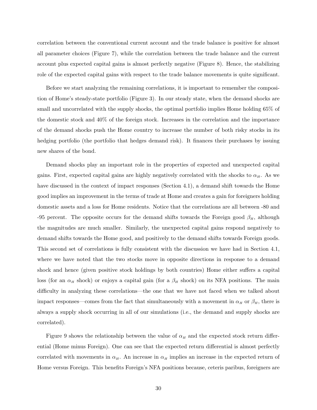correlation between the conventional current account and the trade balance is positive for almost all parameter choices (Figure 7), while the correlation between the trade balance and the current account plus expected capital gains is almost perfectly negative (Figure 8). Hence, the stabilizing role of the expected capital gains with respect to the trade balance movements is quite significant.

Before we start analyzing the remaining correlations, it is important to remember the composition of Home's steady-state portfolio (Figure 3). In our steady state, when the demand shocks are small and uncorrelated with the supply shocks, the optimal portfolio implies Home holding 65% of the domestic stock and 40% of the foreign stock. Increases in the correlation and the importance of the demand shocks push the Home country to increase the number of both risky stocks in its hedging portfolio (the portfolio that hedges demand risk). It finances their purchases by issuing new shares of the bond.

Demand shocks play an important role in the properties of expected and unexpected capital gains. First, expected capital gains are highly negatively correlated with the shocks to  $\alpha_H$ . As we have discussed in the context of impact responses (Section 4.1), a demand shift towards the Home good implies an improvement in the terms of trade at Home and creates a gain for foreigners holding domestic assets and a loss for Home residents. Notice that the correlations are all between -80 and -95 percent. The opposite occurs for the demand shifts towards the Foreign good  $\beta_H$ , although the magnitudes are much smaller. Similarly, the unexpected capital gains respond negatively to demand shifts towards the Home good, and positively to the demand shifts towards Foreign goods. This second set of correlations is fully consistent with the discussion we have had in Section 4.1, where we have noted that the two stocks move in opposite directions in response to a demand shock and hence (given positive stock holdings by both countries) Home either suffers a capital loss (for an  $\alpha_H$  shock) or enjoys a capital gain (for a  $\beta_H$  shock) on its NFA positions. The main difficulty in analyzing these correlations—the one that we have not faced when we talked about impact responses—comes from the fact that simultaneously with a movement in  $\alpha_H$  or  $\beta_H$ , there is always a supply shock occurring in all of our simulations (i.e., the demand and supply shocks are correlated).

Figure 9 shows the relationship between the value of  $\alpha_H$  and the expected stock return differential (Home minus Foreign). One can see that the expected return differential is almost perfectly correlated with movements in  $\alpha_H$ . An increase in  $\alpha_H$  implies an increase in the expected return of Home versus Foreign. This benefits Foreign's NFA positions because, ceteris paribus, foreigners are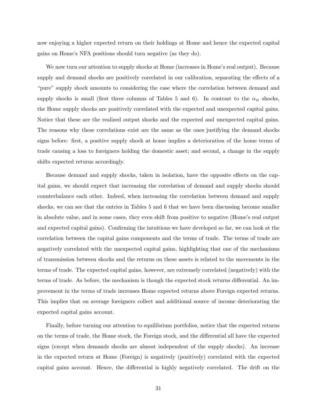now enjoying a higher expected return on their holdings at Home and hence the expected capital gains on Home's NFA positions should turn negative (as they do).

We now turn our attention to supply shocks at Home (increases in Home's real output). Because supply and demand shocks are positively correlated in our calibration, separating the effects of a "pure" supply shock amounts to considering the case where the correlation between demand and supply shocks is small (first three columns of Tables 5 and 6). In contrast to the  $\alpha_H$  shocks, the Home supply shocks are positively correlated with the expected and unexpected capital gains. Notice that these are the realized output shocks and the expected and unexpected capital gains. The reasons why these correlations exist are the same as the ones justifying the demand shocks signs before: first, a positive supply shock at home implies a deterioration of the home terms of trade causing a loss to foreigners holding the domestic asset; and second, a change in the supply shifts expected returns accordingly.

Because demand and supply shocks, taken in isolation, have the opposite effects on the capital gains, we should expect that increasing the correlation of demand and supply shocks should counterbalance each other. Indeed, when increasing the correlation between demand and supply shocks, we can see that the entries in Tables 5 and 6 that we have been discussing become smaller in absolute value, and in some cases, they even shift from positive to negative (Home's real output and expected capital gains). Confirming the intuitions we have developed so far, we can look at the correlation between the capital gains components and the terms of trade. The terms of trade are negatively correlated with the unexpected capital gains, highlighting that one of the mechanisms of transmission between shocks and the returns on these assets is related to the movements in the terms of trade. The expected capital gains, however, are extremely correlated (negatively) with the terms of trade. As before, the mechanism is though the expected stock returns differential. An improvement in the terms of trade increases Home expected returns above Foreign expected returns. This implies that on average foreigners collect and additional source of income deteriorating the expected capital gains account.

Finally, before turning our attention to equilibrium portfolios, notice that the expected returns on the terms of trade, the Home stock, the Foreign stock, and the differential all have the expected signs (except when demands shocks are almost independent of the supply shocks). An increase in the expected return at Home (Foreign) is negatively (positively) correlated with the expected capital gains account. Hence, the differential is highly negatively correlated. The drift on the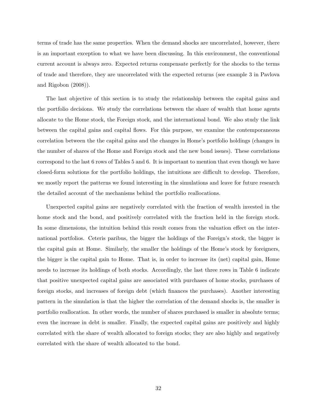terms of trade has the same properties. When the demand shocks are uncorrelated, however, there is an important exception to what we have been discussing. In this environment, the conventional current account is always zero. Expected returns compensate perfectly for the shocks to the terms of trade and therefore, they are uncorrelated with the expected returns (see example 3 in Pavlova and Rigobon (2008)).

The last objective of this section is to study the relationship between the capital gains and the portfolio decisions. We study the correlations between the share of wealth that home agents allocate to the Home stock, the Foreign stock, and the international bond. We also study the link between the capital gains and capital flows. For this purpose, we examine the contemporaneous correlation between the the capital gains and the changes in Home's portfolio holdings (changes in the number of shares of the Home and Foreign stock and the new bond issues). These correlations correspond to the last 6 rows of Tables 5 and 6. It is important to mention that even though we have closed-form solutions for the portfolio holdings, the intuitions are difficult to develop. Therefore, we mostly report the patterns we found interesting in the simulations and leave for future research the detailed account of the mechanisms behind the portfolio reallocations.

Unexpected capital gains are negatively correlated with the fraction of wealth invested in the home stock and the bond, and positively correlated with the fraction held in the foreign stock. In some dimensions, the intuition behind this result comes from the valuation effect on the international portfolios. Ceteris paribus, the bigger the holdings of the Foreign's stock, the bigger is the capital gain at Home. Similarly, the smaller the holdings of the Home's stock by foreigners, the bigger is the capital gain to Home. That is, in order to increase its (net) capital gain, Home needs to increase its holdings of both stocks. Accordingly, the last three rows in Table 6 indicate that positive unexpected capital gains are associated with purchases of home stocks, purchases of foreign stocks, and increases of foreign debt (which finances the purchases). Another interesting pattern in the simulation is that the higher the correlation of the demand shocks is, the smaller is portfolio reallocation. In other words, the number of shares purchased is smaller in absolute terms; even the increase in debt is smaller. Finally, the expected capital gains are positively and highly correlated with the share of wealth allocated to foreign stocks; they are also highly and negatively correlated with the share of wealth allocated to the bond.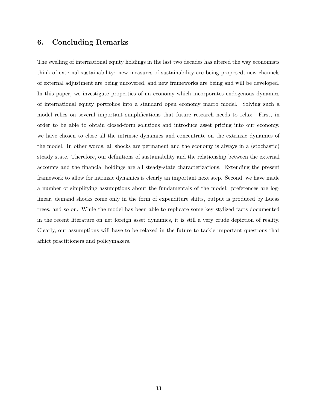# 6. Concluding Remarks

The swelling of international equity holdings in the last two decades has altered the way economists think of external sustainability: new measures of sustainability are being proposed, new channels of external adjustment are being uncovered, and new frameworks are being and will be developed. In this paper, we investigate properties of an economy which incorporates endogenous dynamics of international equity portfolios into a standard open economy macro model. Solving such a model relies on several important simplifications that future research needs to relax. First, in order to be able to obtain closed-form solutions and introduce asset pricing into our economy, we have chosen to close all the intrinsic dynamics and concentrate on the extrinsic dynamics of the model. In other words, all shocks are permanent and the economy is always in a (stochastic) steady state. Therefore, our definitions of sustainability and the relationship between the external accounts and the financial holdings are all steady-state characterizations. Extending the present framework to allow for intrinsic dynamics is clearly an important next step. Second, we have made a number of simplifying assumptions about the fundamentals of the model: preferences are loglinear, demand shocks come only in the form of expenditure shifts, output is produced by Lucas trees, and so on. While the model has been able to replicate some key stylized facts documented in the recent literature on net foreign asset dynamics, it is still a very crude depiction of reality. Clearly, our assumptions will have to be relaxed in the future to tackle important questions that afflict practitioners and policymakers.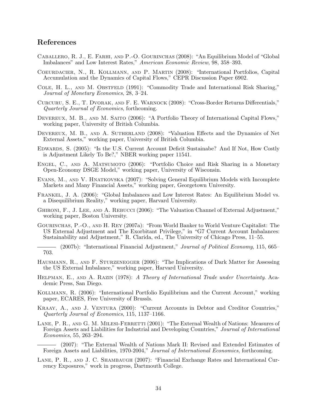# References

- Caballero, R. J., E. Farhi, and P.-O. Gourinchas (2008): "An Equilibrium Model of "Global Imbalances" and Low Interest Rates," American Economic Review, 98, 358–393.
- Coeurdacier, N., R. Kollmann, and P. Martin (2008): "International Portfolios, Capital Accumulation and the Dynamics of Capital Flows," CEPR Discussion Paper 6902.
- COLE, H. L., AND M. OBSTFELD (1991): "Commodity Trade and International Risk Sharing," Journal of Monetary Economics, 28, 3–24.
- Curcuru, S. E., T. Dvorak, and F. E. Warnock (2008): "Cross-Border Returns Differentials," Quarterly Journal of Economics, forthcoming.
- DEVEREUX, M. B., AND M. SAITO (2006): "A Portfolio Theory of International Capital Flows," working paper, University of British Columbia.
- DEVEREUX, M. B., AND A. SUTHERLAND (2008): "Valuation Effects and the Dynamics of Net External Assets," working paper, University of British Columbia.
- Edwards, S. (2005): "Is the U.S. Current Account Deficit Sustainabe? And If Not, How Costly is Adjustment Likely To Be?," NBER working paper 11541.
- Engel, C., and A. Matsumoto (2006): "Portfolio Choice and Risk Sharing in a Monetary Open-Economy DSGE Model," working paper, University of Wisconsin.
- Evans, M., and V. Hnatkovska (2007): "Solving General Equilibrium Models with Incomplete Markets and Many Financial Assets," working paper, Georgetown University.
- Frankel, J. A. (2006): "Global Imbalances and Low Interest Rates: An Equilibrium Model vs. a Disequilibrium Reality," working paper, Harvard University.
- GHIRONI, F., J. LEE, AND A. REBUCCI (2006): "The Valuation Channel of External Adjustment," working paper, Boston University.
- Gourinchas, P.-O., and H. Rey (2007a): "From World Banker to World Venture Capitalist: The US External Adjustment and The Exorbitant Privilege," in "G7 Current Account Imbalances: Sustainability and Adjustment," R. Clarida, ed., The University of Chicago Press, 11–55.
- (2007b): "International Financial Adjustment," *Journal of Political Economy*, 115, 665– 703.
- HAUSMANN, R., AND F. STURZENEGGER (2006): "The Implications of Dark Matter for Assessing the US External Imbalance," working paper, Harvard University.
- HELPMAN, E., AND A. RAZIN (1978): A Theory of International Trade under Uncertainty. Academic Press, San Diego.
- Kollmann, R. (2006): "International Portfolio Equilibrium and the Current Account," working paper, ECARES, Free University of Brussls.
- KRAAY, A., AND J. VENTURA (2000): "Current Accounts in Debtor and Creditor Countries," Quarterly Journal of Economics, 115, 1137–1166.
- LANE, P. R., AND G. M. MILESI-FERRETTI (2001): "The External Wealth of Nations: Measures of Foreign Assets and Liabilities for Industrial and Developing Countries," Journal of International Economics, 55, 263–294.
- (2007): "The External Wealth of Nations Mark II: Revised and Extended Estimates of Foreign Assets and Liabilities, 1970-2004," Journal of International Economics, forthcoming.
- Lane, P. R., and J. C. Shambaugh (2007): "Financial Exchange Rates and International Currency Exposures," work in progress, Dartmouth College.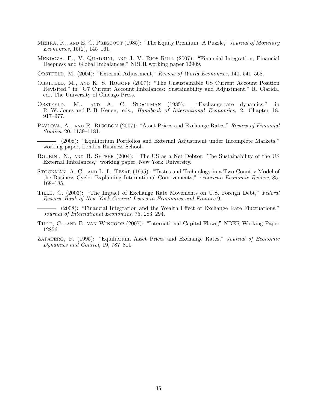- MEHRA, R., AND E. C. PRESCOTT (1985): "The Equity Premium: A Puzzle," Journal of Monetary Economics, 15(2), 145–161.
- MENDOZA, E., V. QUADRINI, AND J. V. RIOS-RULL (2007): "Financial Integration, Financial Deepness and Global Imbalances," NBER working paper 12909.
- OBSTFELD, M. (2004): "External Adjustment," Review of World Economics, 140, 541–568.
- Obstfeld, M., and K. S. Rogoff (2007): "The Unsustainable US Current Account Position Revisited," in "G7 Current Account Imbalances: Sustainability and Adjustment," R. Clarida, ed., The University of Chicago Press.
- Obstfeld, M., and A. C. Stockman (1985): "Exchange-rate dynamics," in R. W. Jones and P. B. Kenen, eds., Handbook of International Economics, 2, Chapter 18, 917–977.
- PAVLOVA, A., AND R. RIGOBON (2007): "Asset Prices and Exchange Rates," Review of Financial Studies, 20, 1139–1181.
- (2008): "Equilibrium Portfolios and External Adjustment under Incomplete Markets," working paper, London Business School.
- Roubini, N., and B. Setser (2004): "The US as a Net Debtor: The Sustainability of the US External Imbalances," working paper, New York University.
- Stockman, A. C., and L. L. Tesar (1995): "Tastes and Technology in a Two-Country Model of the Business Cycle: Explaining International Comovements," American Economic Review, 85, 168–185.
- TILLE, C. (2003): "The Impact of Exchange Rate Movements on U.S. Foreign Debt," Federal Reserve Bank of New York Current Issues in Economics and Finance 9.
- (2008): "Financial Integration and the Wealth Effect of Exchange Rate Fluctuations," Journal of International Economics, 75, 283–294.
- Tille, C., and E. van Wincoop (2007): "International Capital Flows," NBER Working Paper 12856.
- Zapatero, F. (1995): "Equilibrium Asset Prices and Exchange Rates," Journal of Economic Dynamics and Control, 19, 787–811.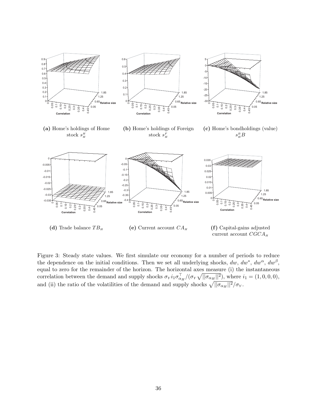

Figure 3: Steady state values. We first simulate our economy for a number of periods to reduce the dependence on the initial conditions. Then we set all underlying shocks,  $dw$ ,  $dw^*, dw^{\alpha}, dw^{\beta}$ , equal to zero for the remainder of the horizon. The horizontal axes measure (i) the instantaneous correlation between the demand and supply shocks  $\sigma_Y i_1 \sigma_{\alpha_H}^{\top}/(\sigma_Y \sqrt{||\sigma_{\alpha_H}||^2})$ , where  $i_1 = (1, 0, 0, 0)$ , and (ii) the ratio of the volatilities of the demand and supply shocks  $\sqrt{||\sigma_{\alpha_H}||^2}/\sigma_Y$ .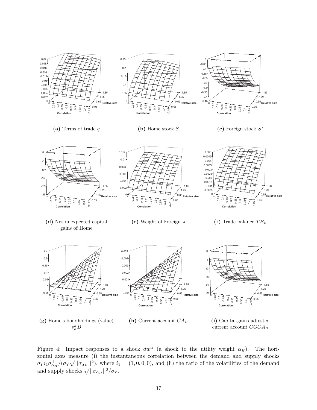

Figure 4: Impact responses to a shock  $dw^{\alpha}$  (a shock to the utility weight  $\alpha_H$ ). The horizontal axes measure (i) the instantaneous correlation between the demand and supply shocks  $\sigma_Y i_1 \sigma_{\alpha_H}^{\top} / (\sigma_Y \sqrt{||\sigma_{\alpha_H}||^2})$ , where  $i_1 = (1, 0, 0, 0)$ , and (ii) the ratio of the volatilities of the demand and supply shocks  $\sqrt{||\sigma_{\alpha_H}||^2}/\sigma_Y$ .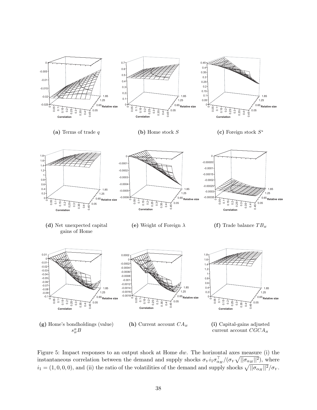

Figure 5: Impact responses to an output shock at Home dw. The horizontal axes measure (i) the instantaneous correlation between the demand and supply shocks  $\sigma_Y i_1 \sigma_{\alpha_H}^{\top}/(\sigma_Y \sqrt{||\sigma_{\alpha_H}||^2})$ , where instantaneous correlation between the demand and supply shocks  $\partial Y^l \partial \alpha_H / (\partial Y \nabla || \partial \alpha_H ||$ , where  $i_1 = (1, 0, 0, 0)$ , and (ii) the ratio of the volatilities of the demand and supply shocks  $\sqrt{||\sigma_{\alpha_H}||^2}/\sigma_Y$ .